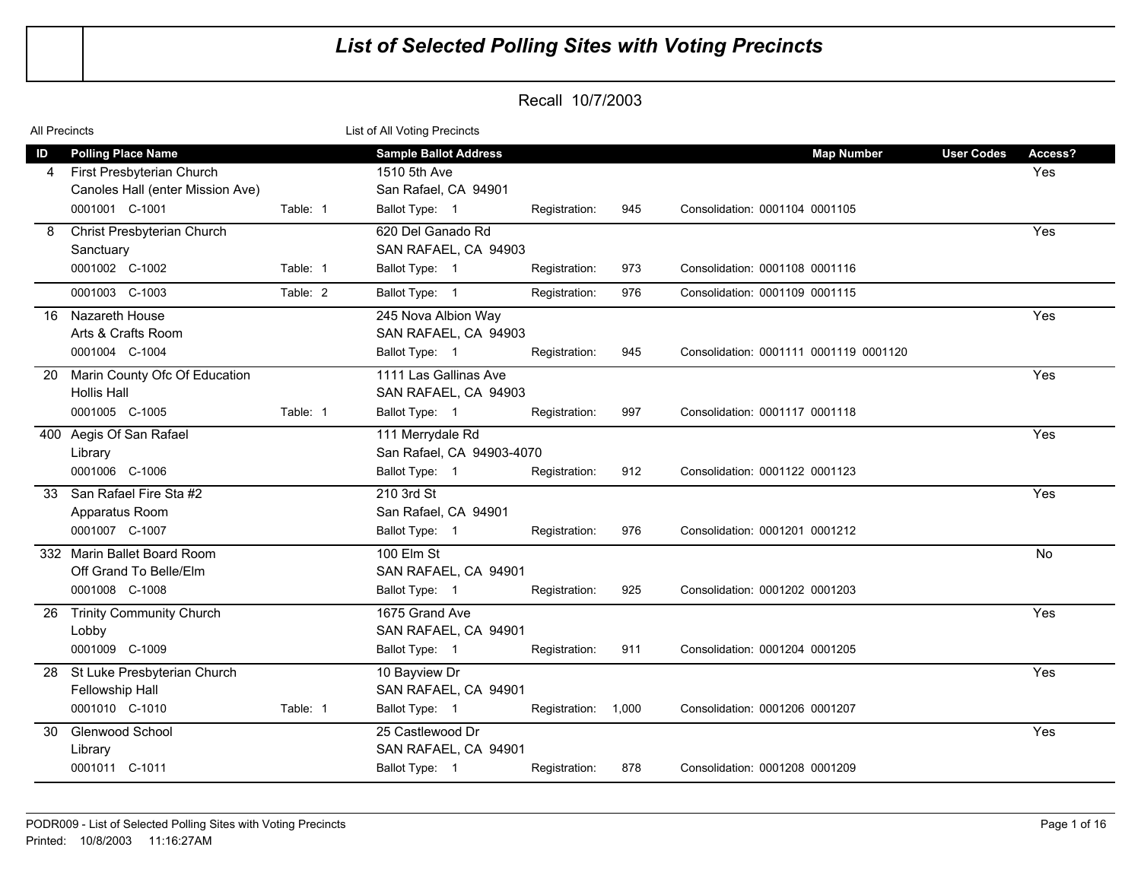| All Precincts |                                                                                            |          | List of All Voting Precincts                                         |                     |     |                                        |                   |                |
|---------------|--------------------------------------------------------------------------------------------|----------|----------------------------------------------------------------------|---------------------|-----|----------------------------------------|-------------------|----------------|
| ID<br>4       | <b>Polling Place Name</b><br>First Presbyterian Church<br>Canoles Hall (enter Mission Ave) |          | <b>Sample Ballot Address</b><br>1510 5th Ave<br>San Rafael, CA 94901 |                     |     | <b>Map Number</b>                      | <b>User Codes</b> | Access?<br>Yes |
|               | 0001001 C-1001                                                                             | Table: 1 | Ballot Type: 1                                                       | Registration:       | 945 | Consolidation: 0001104 0001105         |                   |                |
| 8             | Christ Presbyterian Church<br>Sanctuary                                                    |          | 620 Del Ganado Rd<br>SAN RAFAEL, CA 94903                            |                     |     |                                        |                   | Yes            |
|               | 0001002 C-1002                                                                             | Table: 1 | Ballot Type: 1                                                       | Registration:       | 973 | Consolidation: 0001108 0001116         |                   |                |
|               | 0001003 C-1003                                                                             | Table: 2 | Ballot Type: 1                                                       | Registration:       | 976 | Consolidation: 0001109 0001115         |                   |                |
| 16            | Nazareth House<br>Arts & Crafts Room<br>0001004 C-1004                                     |          | 245 Nova Albion Way<br>SAN RAFAEL, CA 94903<br>Ballot Type: 1        | Registration:       | 945 | Consolidation: 0001111 0001119 0001120 |                   | Yes            |
| -20           | Marin County Ofc Of Education<br><b>Hollis Hall</b>                                        |          | 1111 Las Gallinas Ave<br>SAN RAFAEL, CA 94903                        |                     |     |                                        |                   | Yes            |
|               | 0001005 C-1005                                                                             | Table: 1 | Ballot Type: 1                                                       | Registration:       | 997 | Consolidation: 0001117 0001118         |                   |                |
|               | 400 Aegis Of San Rafael<br>Library<br>0001006 C-1006                                       |          | 111 Merrydale Rd<br>San Rafael, CA 94903-4070<br>Ballot Type: 1      | Registration:       | 912 | Consolidation: 0001122 0001123         |                   | Yes            |
| 33            | San Rafael Fire Sta #2<br>Apparatus Room<br>0001007 C-1007                                 |          | 210 3rd St<br>San Rafael, CA 94901<br>Ballot Type: 1                 | Registration:       | 976 | Consolidation: 0001201 0001212         |                   | Yes            |
|               | 332 Marin Ballet Board Room<br>Off Grand To Belle/Elm<br>0001008 C-1008                    |          | 100 Elm St<br>SAN RAFAEL, CA 94901<br>Ballot Type: 1                 | Registration:       | 925 | Consolidation: 0001202 0001203         |                   | <b>No</b>      |
| -26           | <b>Trinity Community Church</b><br>Lobby<br>0001009 C-1009                                 |          | 1675 Grand Ave<br>SAN RAFAEL, CA 94901<br>Ballot Type: 1             | Registration:       | 911 | Consolidation: 0001204 0001205         |                   | Yes            |
| 28            | St Luke Presbyterian Church<br>Fellowship Hall<br>0001010 C-1010                           | Table: 1 | 10 Bayview Dr<br>SAN RAFAEL, CA 94901<br>Ballot Type: 1              | Registration: 1,000 |     | Consolidation: 0001206 0001207         |                   | Yes            |
| 30            | Glenwood School<br>Library<br>0001011 C-1011                                               |          | 25 Castlewood Dr<br>SAN RAFAEL, CA 94901<br>Ballot Type: 1           |                     | 878 | Consolidation: 0001208 0001209         |                   | Yes            |
|               |                                                                                            |          |                                                                      | Registration:       |     |                                        |                   |                |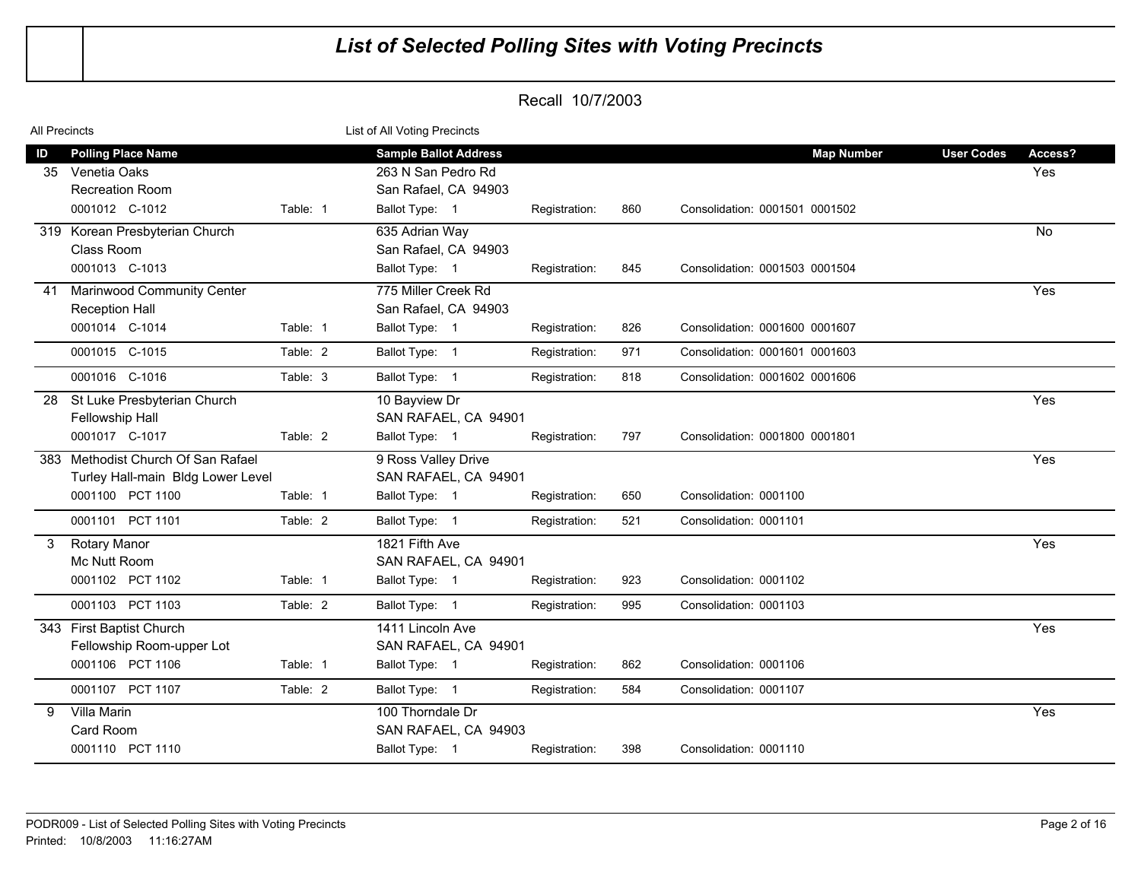| <b>All Precincts</b> |                                                                           |          | List of All Voting Precincts                                               |               |     |                                |                   |                |
|----------------------|---------------------------------------------------------------------------|----------|----------------------------------------------------------------------------|---------------|-----|--------------------------------|-------------------|----------------|
| ID<br>35             | <b>Polling Place Name</b><br>Venetia Oaks<br><b>Recreation Room</b>       |          | <b>Sample Ballot Address</b><br>263 N San Pedro Rd<br>San Rafael, CA 94903 |               |     | <b>Map Number</b>              | <b>User Codes</b> | Access?<br>Yes |
|                      | 0001012 C-1012                                                            | Table: 1 | Ballot Type: 1                                                             | Registration: | 860 | Consolidation: 0001501 0001502 |                   |                |
|                      | 319 Korean Presbyterian Church<br>Class Room                              |          | 635 Adrian Way<br>San Rafael, CA 94903                                     |               |     |                                |                   | No             |
|                      | 0001013 C-1013                                                            |          | Ballot Type: 1                                                             | Registration: | 845 | Consolidation: 0001503 0001504 |                   |                |
| 41                   | <b>Marinwood Community Center</b><br><b>Reception Hall</b>                |          | 775 Miller Creek Rd<br>San Rafael, CA 94903                                |               |     |                                |                   | Yes            |
|                      | 0001014 C-1014                                                            | Table: 1 | Ballot Type: 1                                                             | Registration: | 826 | Consolidation: 0001600 0001607 |                   |                |
|                      | 0001015 C-1015                                                            | Table: 2 | Ballot Type: 1                                                             | Registration: | 971 | Consolidation: 0001601 0001603 |                   |                |
|                      | 0001016 C-1016                                                            | Table: 3 | Ballot Type: 1                                                             | Registration: | 818 | Consolidation: 0001602 0001606 |                   |                |
| 28                   | St Luke Presbyterian Church<br>Fellowship Hall                            |          | 10 Bayview Dr<br>SAN RAFAEL, CA 94901                                      |               |     |                                |                   | Yes            |
|                      | 0001017 C-1017                                                            | Table: 2 | Ballot Type: 1                                                             | Registration: | 797 | Consolidation: 0001800 0001801 |                   |                |
|                      | 383 Methodist Church Of San Rafael<br>Turley Hall-main Bldg Lower Level   |          | 9 Ross Valley Drive<br>SAN RAFAEL, CA 94901                                |               |     |                                |                   | Yes            |
|                      | 0001100 PCT 1100                                                          | Table: 1 | Ballot Type: 1                                                             | Registration: | 650 | Consolidation: 0001100         |                   |                |
|                      | 0001101 PCT 1101                                                          | Table: 2 | Ballot Type: 1                                                             | Registration: | 521 | Consolidation: 0001101         |                   |                |
| 3                    | <b>Rotary Manor</b><br>Mc Nutt Room<br>0001102 PCT 1102                   | Table: 1 | 1821 Fifth Ave<br>SAN RAFAEL, CA 94901<br>Ballot Type: 1                   | Registration: | 923 | Consolidation: 0001102         |                   | Yes            |
|                      | 0001103 PCT 1103                                                          | Table: 2 | Ballot Type: 1                                                             | Registration: | 995 | Consolidation: 0001103         |                   |                |
|                      | 343 First Baptist Church<br>Fellowship Room-upper Lot<br>0001106 PCT 1106 | Table: 1 | 1411 Lincoln Ave<br>SAN RAFAEL, CA 94901<br>Ballot Type: 1                 |               | 862 | Consolidation: 0001106         |                   | Yes            |
|                      |                                                                           |          |                                                                            | Registration: |     |                                |                   |                |
|                      | 0001107 PCT 1107                                                          | Table: 2 | Ballot Type: 1                                                             | Registration: | 584 | Consolidation: 0001107         |                   |                |
| 9                    | Villa Marin<br>Card Room<br>0001110 PCT 1110                              |          | 100 Thorndale Dr<br>SAN RAFAEL, CA 94903<br>Ballot Type: 1                 | Registration: | 398 | Consolidation: 0001110         |                   | Yes            |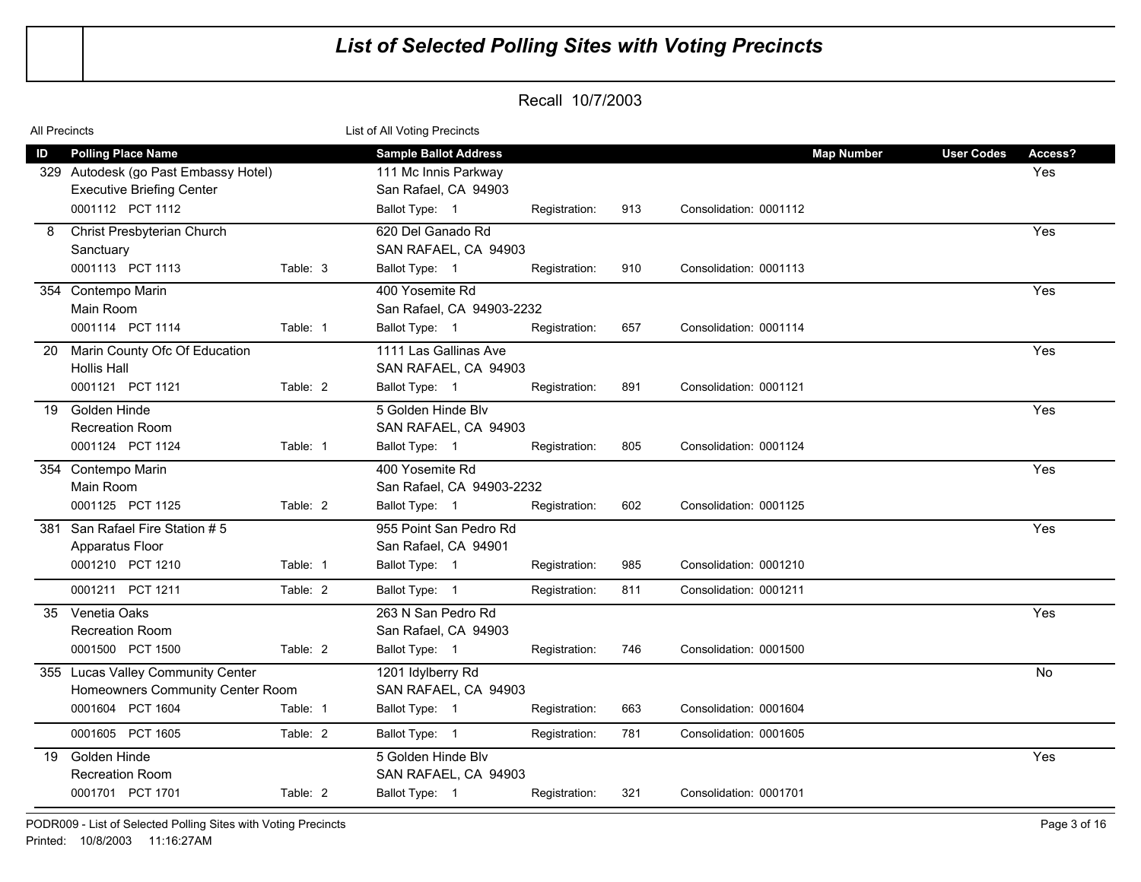| All Precincts |                                                                                                   |          | List of All Voting Precincts                                                 |               |     |                        |                   |                |  |  |
|---------------|---------------------------------------------------------------------------------------------------|----------|------------------------------------------------------------------------------|---------------|-----|------------------------|-------------------|----------------|--|--|
| ID<br>329     | <b>Polling Place Name</b><br>Autodesk (go Past Embassy Hotel)<br><b>Executive Briefing Center</b> |          | <b>Sample Ballot Address</b><br>111 Mc Innis Parkway<br>San Rafael, CA 94903 |               |     | <b>Map Number</b>      | <b>User Codes</b> | Access?<br>Yes |  |  |
|               | 0001112 PCT 1112                                                                                  |          | Ballot Type: 1                                                               | Registration: | 913 | Consolidation: 0001112 |                   |                |  |  |
| 8             | Christ Presbyterian Church<br>Sanctuary<br>0001113 PCT 1113                                       | Table: 3 | 620 Del Ganado Rd<br>SAN RAFAEL, CA 94903<br>Ballot Type: 1                  | Registration: | 910 | Consolidation: 0001113 |                   | Yes            |  |  |
|               | 354 Contempo Marin<br>Main Room<br>0001114 PCT 1114                                               | Table: 1 | 400 Yosemite Rd<br>San Rafael, CA 94903-2232<br>Ballot Type: 1               |               | 657 | Consolidation: 0001114 |                   | Yes            |  |  |
| -20           | Marin County Ofc Of Education<br><b>Hollis Hall</b>                                               |          | 1111 Las Gallinas Ave<br>SAN RAFAEL, CA 94903                                | Registration: |     |                        |                   | Yes            |  |  |
|               | 0001121 PCT 1121                                                                                  | Table: 2 | Ballot Type: 1                                                               | Registration: | 891 | Consolidation: 0001121 |                   |                |  |  |
| 19            | Golden Hinde<br><b>Recreation Room</b>                                                            |          | 5 Golden Hinde Blv<br>SAN RAFAEL, CA 94903                                   |               |     |                        |                   | Yes            |  |  |
|               | 0001124 PCT 1124                                                                                  | Table: 1 | Ballot Type: 1                                                               | Registration: | 805 | Consolidation: 0001124 |                   |                |  |  |
|               | 354 Contempo Marin<br>Main Room                                                                   |          | 400 Yosemite Rd<br>San Rafael, CA 94903-2232                                 |               |     |                        |                   | Yes            |  |  |
| 381           | 0001125 PCT 1125<br>San Rafael Fire Station #5                                                    | Table: 2 | Ballot Type: 1<br>955 Point San Pedro Rd                                     | Registration: | 602 | Consolidation: 0001125 |                   | Yes            |  |  |
|               | Apparatus Floor                                                                                   |          | San Rafael, CA 94901                                                         |               |     |                        |                   |                |  |  |
|               | 0001210 PCT 1210                                                                                  | Table: 1 | Ballot Type: 1                                                               | Registration: | 985 | Consolidation: 0001210 |                   |                |  |  |
|               | 0001211 PCT 1211                                                                                  | Table: 2 | Ballot Type: 1                                                               | Registration: | 811 | Consolidation: 0001211 |                   |                |  |  |
| 35            | Venetia Oaks<br><b>Recreation Room</b>                                                            |          | 263 N San Pedro Rd<br>San Rafael, CA 94903                                   |               |     |                        |                   | Yes            |  |  |
|               | 0001500 PCT 1500                                                                                  | Table: 2 | Ballot Type: 1                                                               | Registration: | 746 | Consolidation: 0001500 |                   |                |  |  |
|               | 355 Lucas Valley Community Center<br>Homeowners Community Center Room                             |          | 1201 Idylberry Rd<br>SAN RAFAEL, CA 94903                                    |               |     |                        |                   | No.            |  |  |
|               | 0001604 PCT 1604                                                                                  | Table: 1 | Ballot Type: 1                                                               | Registration: | 663 | Consolidation: 0001604 |                   |                |  |  |
|               | 0001605 PCT 1605                                                                                  | Table: 2 | Ballot Type: 1                                                               | Registration: | 781 | Consolidation: 0001605 |                   |                |  |  |
| 19            | Golden Hinde<br><b>Recreation Room</b><br>0001701 PCT 1701                                        | Table: 2 | 5 Golden Hinde Blv<br>SAN RAFAEL, CA 94903<br>Ballot Type: 1                 | Registration: | 321 | Consolidation: 0001701 |                   | Yes            |  |  |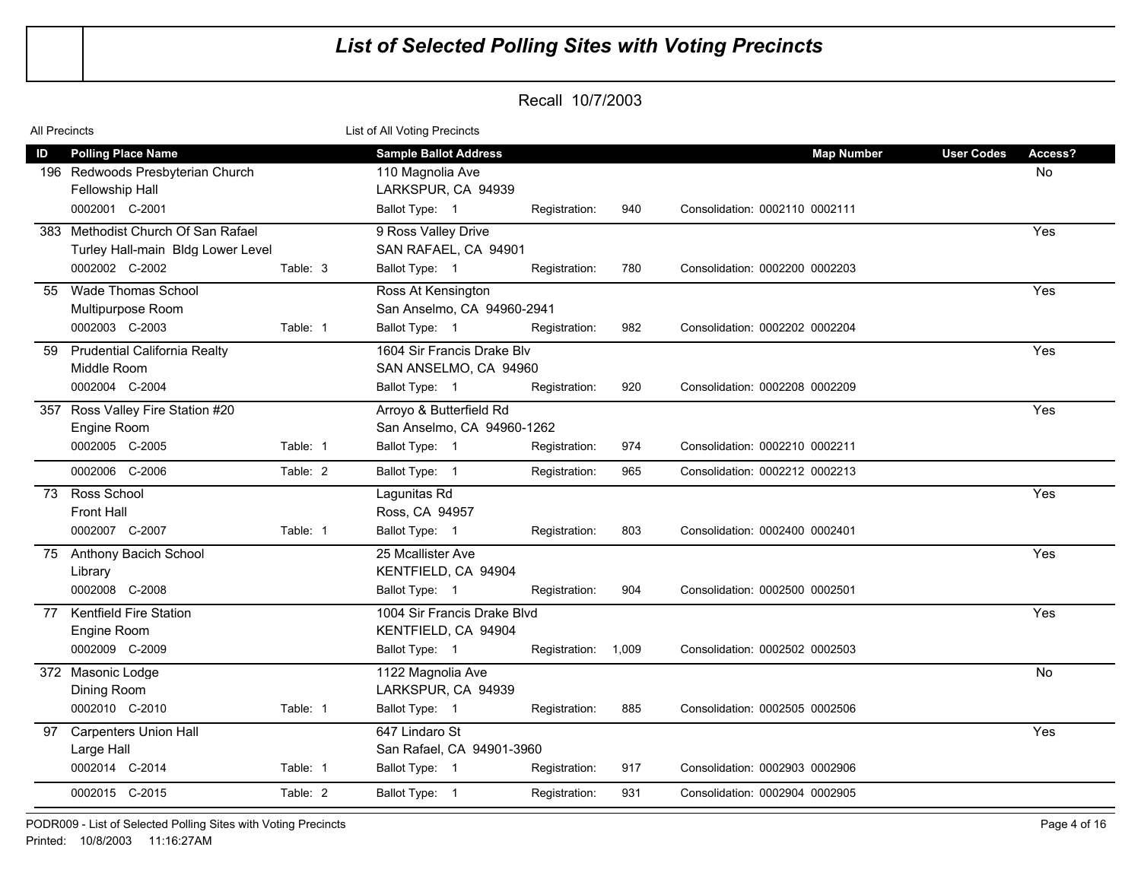| All Precincts |                                                                                                    |          | List of All Voting Precincts                                                             |                     |     |                                                     |                                    |
|---------------|----------------------------------------------------------------------------------------------------|----------|------------------------------------------------------------------------------------------|---------------------|-----|-----------------------------------------------------|------------------------------------|
| ID            | <b>Polling Place Name</b><br>196 Redwoods Presbyterian Church<br>Fellowship Hall<br>0002001 C-2001 |          | <b>Sample Ballot Address</b><br>110 Magnolia Ave<br>LARKSPUR, CA 94939<br>Ballot Type: 1 | Registration:       | 940 | <b>Map Number</b><br>Consolidation: 0002110 0002111 | <b>User Codes</b><br>Access?<br>No |
|               | 383 Methodist Church Of San Rafael                                                                 |          | 9 Ross Valley Drive                                                                      |                     |     |                                                     | Yes                                |
|               | Turley Hall-main Bldg Lower Level<br>0002002 C-2002                                                | Table: 3 | SAN RAFAEL, CA 94901<br>Ballot Type: 1                                                   | Registration:       | 780 | Consolidation: 0002200 0002203                      |                                    |
| 55            | Wade Thomas School<br>Multipurpose Room                                                            |          | Ross At Kensington<br>San Anselmo, CA 94960-2941                                         |                     |     |                                                     | Yes                                |
|               | 0002003 C-2003                                                                                     | Table: 1 | Ballot Type: 1                                                                           | Registration:       | 982 | Consolidation: 0002202 0002204                      |                                    |
| 59            | <b>Prudential California Realty</b><br>Middle Room                                                 |          | 1604 Sir Francis Drake Blv<br>SAN ANSELMO, CA 94960                                      |                     |     |                                                     | Yes                                |
|               | 0002004 C-2004                                                                                     |          | Ballot Type: 1                                                                           | Registration:       | 920 | Consolidation: 0002208 0002209                      |                                    |
| 357           | Ross Valley Fire Station #20<br>Engine Room                                                        |          | Arroyo & Butterfield Rd<br>San Anselmo, CA 94960-1262                                    |                     |     |                                                     | Yes                                |
|               | 0002005 C-2005                                                                                     | Table: 1 | Ballot Type: 1                                                                           | Registration:       | 974 | Consolidation: 0002210 0002211                      |                                    |
|               | 0002006 C-2006                                                                                     | Table: 2 | Ballot Type: 1                                                                           | Registration:       | 965 | Consolidation: 0002212 0002213                      |                                    |
| 73            | Ross School<br>Front Hall                                                                          |          | Lagunitas Rd<br>Ross, CA 94957                                                           |                     |     |                                                     | Yes                                |
|               | 0002007 C-2007                                                                                     | Table: 1 | Ballot Type: 1                                                                           | Registration:       | 803 | Consolidation: 0002400 0002401                      |                                    |
|               | 75 Anthony Bacich School<br>Library                                                                |          | 25 Mcallister Ave<br>KENTFIELD, CA 94904                                                 |                     |     |                                                     | Yes                                |
|               | 0002008 C-2008                                                                                     |          | Ballot Type: 1                                                                           | Registration:       | 904 | Consolidation: 0002500 0002501                      |                                    |
| 77            | <b>Kentfield Fire Station</b><br>Engine Room                                                       |          | 1004 Sir Francis Drake Blvd<br>KENTFIELD, CA 94904                                       |                     |     |                                                     | Yes                                |
|               | 0002009 C-2009                                                                                     |          | Ballot Type: 1                                                                           | Registration: 1,009 |     | Consolidation: 0002502 0002503                      |                                    |
|               | 372 Masonic Lodge<br>Dining Room                                                                   |          | 1122 Magnolia Ave<br>LARKSPUR, CA 94939                                                  |                     |     |                                                     | <b>No</b>                          |
|               | 0002010 C-2010                                                                                     | Table: 1 | Ballot Type: 1                                                                           | Registration:       | 885 | Consolidation: 0002505 0002506                      |                                    |
| 97            | Carpenters Union Hall<br>Large Hall                                                                |          | 647 Lindaro St<br>San Rafael, CA 94901-3960                                              |                     |     |                                                     | Yes                                |
|               | 0002014 C-2014                                                                                     | Table: 1 | Ballot Type: 1                                                                           | Registration:       | 917 | Consolidation: 0002903 0002906                      |                                    |
|               | 0002015 C-2015                                                                                     | Table: 2 | Ballot Type: 1                                                                           | Registration:       | 931 | Consolidation: 0002904 0002905                      |                                    |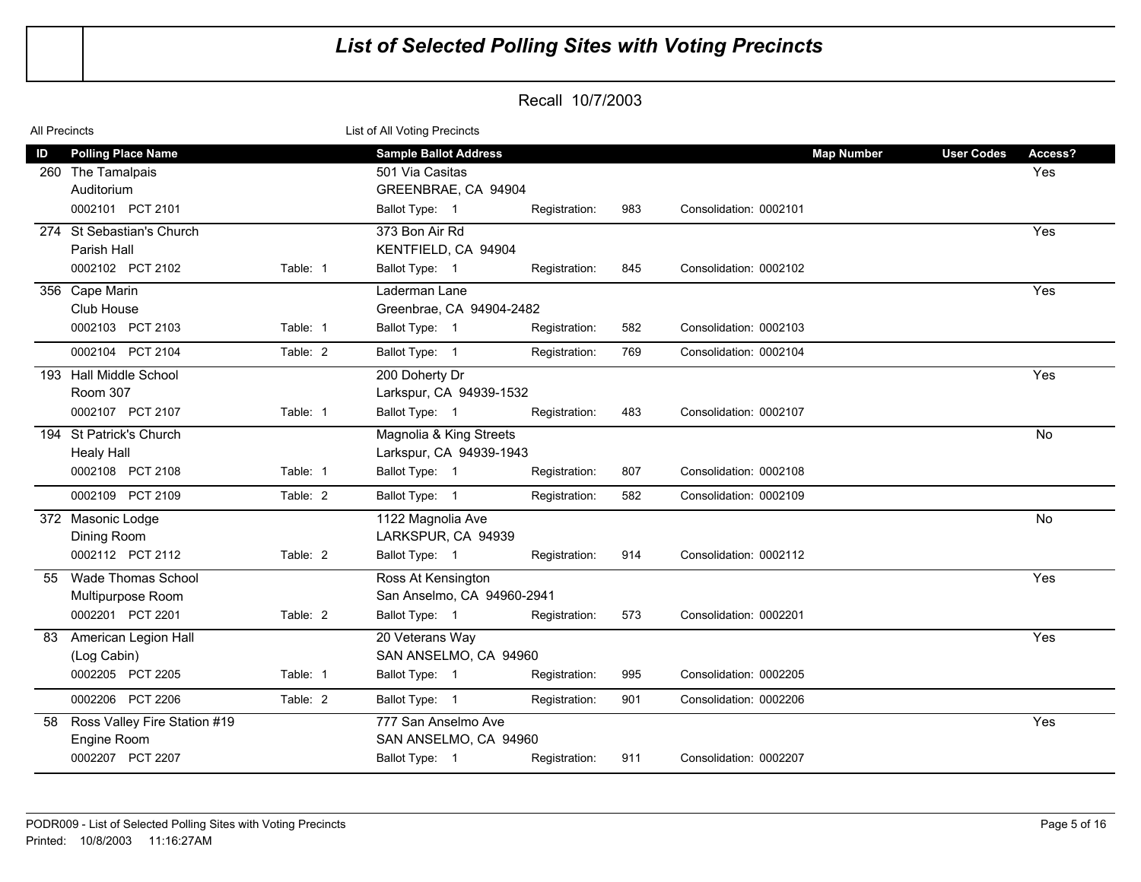| All Precincts |                                                                                  |          | List of All Voting Precincts                                                             |               |     |                        |                   |                   |                |
|---------------|----------------------------------------------------------------------------------|----------|------------------------------------------------------------------------------------------|---------------|-----|------------------------|-------------------|-------------------|----------------|
| ID            | <b>Polling Place Name</b><br>260 The Tamalpais<br>Auditorium<br>0002101 PCT 2101 |          | <b>Sample Ballot Address</b><br>501 Via Casitas<br>GREENBRAE, CA 94904<br>Ballot Type: 1 | Registration: | 983 | Consolidation: 0002101 | <b>Map Number</b> | <b>User Codes</b> | Access?<br>Yes |
|               | 274 St Sebastian's Church<br>Parish Hall<br>0002102 PCT 2102                     | Table: 1 | 373 Bon Air Rd<br>KENTFIELD, CA 94904<br>Ballot Type: 1                                  | Registration: | 845 | Consolidation: 0002102 |                   |                   | Yes            |
|               | 356 Cape Marin<br>Club House<br>0002103 PCT 2103                                 | Table: 1 | Laderman Lane<br>Greenbrae, CA 94904-2482<br>Ballot Type: 1                              | Registration: | 582 | Consolidation: 0002103 |                   |                   | Yes            |
|               | 0002104 PCT 2104                                                                 | Table: 2 | Ballot Type: 1                                                                           | Registration: | 769 | Consolidation: 0002104 |                   |                   |                |
|               | 193 Hall Middle School<br>Room 307<br>0002107 PCT 2107                           | Table: 1 | 200 Doherty Dr<br>Larkspur, CA 94939-1532<br>Ballot Type: 1                              | Registration: | 483 | Consolidation: 0002107 |                   |                   | Yes            |
|               | 194 St Patrick's Church<br><b>Healy Hall</b><br>0002108 PCT 2108                 | Table: 1 | Magnolia & King Streets<br>Larkspur, CA 94939-1943<br>Ballot Type: 1                     | Registration: | 807 | Consolidation: 0002108 |                   |                   | No             |
|               | 0002109 PCT 2109                                                                 | Table: 2 | Ballot Type: 1                                                                           | Registration: | 582 | Consolidation: 0002109 |                   |                   |                |
|               | 372 Masonic Lodge<br>Dining Room<br>0002112 PCT 2112                             | Table: 2 | 1122 Magnolia Ave<br>LARKSPUR, CA 94939<br>Ballot Type: 1                                | Registration: | 914 | Consolidation: 0002112 |                   |                   | No             |
| 55            | <b>Wade Thomas School</b><br>Multipurpose Room<br>0002201 PCT 2201               | Table: 2 | Ross At Kensington<br>San Anselmo, CA 94960-2941<br>Ballot Type: 1                       | Registration: | 573 | Consolidation: 0002201 |                   |                   | Yes            |
| 83            | <b>American Legion Hall</b><br>(Log Cabin)<br>0002205 PCT 2205                   | Table: 1 | 20 Veterans Way<br>SAN ANSELMO, CA 94960<br>Ballot Type: 1                               | Registration: | 995 | Consolidation: 0002205 |                   |                   | Yes            |
|               | 0002206 PCT 2206                                                                 | Table: 2 | Ballot Type: 1                                                                           | Registration: | 901 | Consolidation: 0002206 |                   |                   |                |
| 58            | Ross Valley Fire Station #19<br>Engine Room<br>0002207 PCT 2207                  |          | 777 San Anselmo Ave<br>SAN ANSELMO, CA 94960<br>Ballot Type: 1                           | Registration: | 911 | Consolidation: 0002207 |                   |                   | Yes            |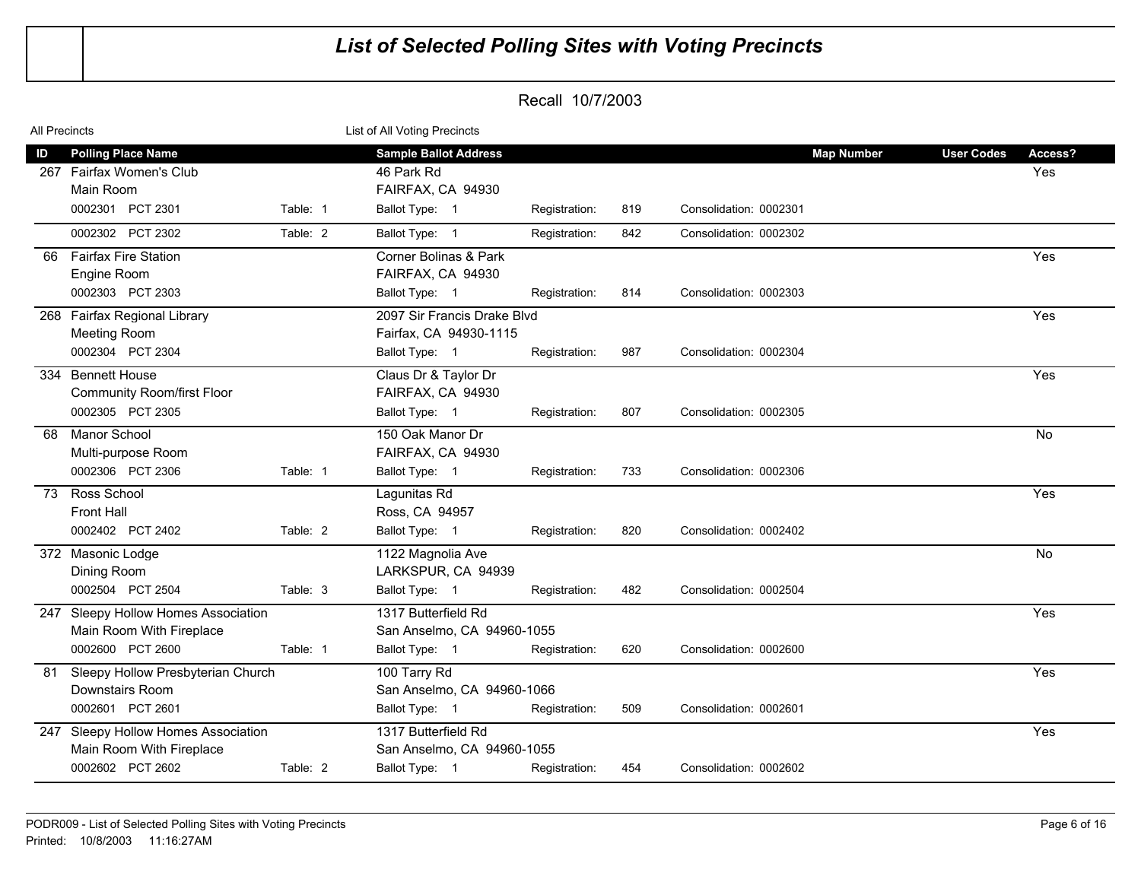| All Precincts |                                                                                        |          | List of All Voting Precincts                                                      |               |     |                                             |                   |                |
|---------------|----------------------------------------------------------------------------------------|----------|-----------------------------------------------------------------------------------|---------------|-----|---------------------------------------------|-------------------|----------------|
| ID            | <b>Polling Place Name</b><br>267 Fairfax Women's Club<br>Main Room<br>0002301 PCT 2301 | Table: 1 | <b>Sample Ballot Address</b><br>46 Park Rd<br>FAIRFAX, CA 94930<br>Ballot Type: 1 | Registration: | 819 | <b>Map Number</b><br>Consolidation: 0002301 | <b>User Codes</b> | Access?<br>Yes |
|               | 0002302 PCT 2302                                                                       | Table: 2 | Ballot Type: 1                                                                    | Registration: | 842 | Consolidation: 0002302                      |                   |                |
| 66            | <b>Fairfax Fire Station</b><br>Engine Room<br>0002303 PCT 2303                         |          | Corner Bolinas & Park<br>FAIRFAX, CA 94930<br>Ballot Type: 1                      | Registration: | 814 | Consolidation: 0002303                      |                   | Yes            |
|               | 268 Fairfax Regional Library<br>Meeting Room<br>0002304 PCT 2304                       |          | 2097 Sir Francis Drake Blvd<br>Fairfax. CA 94930-1115<br>Ballot Type: 1           | Registration: | 987 | Consolidation: 0002304                      |                   | Yes            |
|               | 334 Bennett House<br><b>Community Room/first Floor</b><br>0002305 PCT 2305             |          | Claus Dr & Taylor Dr<br>FAIRFAX, CA 94930<br>Ballot Type: 1                       | Registration: | 807 | Consolidation: 0002305                      |                   | Yes            |
| 68            | <b>Manor School</b><br>Multi-purpose Room<br>0002306 PCT 2306                          | Table: 1 | 150 Oak Manor Dr<br>FAIRFAX, CA 94930<br>Ballot Type: 1                           | Registration: | 733 | Consolidation: 0002306                      |                   | <b>No</b>      |
| 73            | Ross School<br><b>Front Hall</b><br>0002402 PCT 2402                                   | Table: 2 | Lagunitas Rd<br>Ross, CA 94957<br>Ballot Type: 1                                  | Registration: | 820 | Consolidation: 0002402                      |                   | Yes            |
|               | 372 Masonic Lodge<br>Dining Room<br>0002504 PCT 2504                                   | Table: 3 | 1122 Magnolia Ave<br>LARKSPUR, CA 94939<br>Ballot Type: 1                         | Registration: | 482 | Consolidation: 0002504                      |                   | No             |
|               | 247 Sleepy Hollow Homes Association<br>Main Room With Fireplace<br>0002600 PCT 2600    | Table: 1 | 1317 Butterfield Rd<br>San Anselmo, CA 94960-1055<br>Ballot Type: 1               | Registration: | 620 | Consolidation: 0002600                      |                   | Yes            |
| 81            | Sleepy Hollow Presbyterian Church<br><b>Downstairs Room</b><br>0002601 PCT 2601        |          | 100 Tarry Rd<br>San Anselmo, CA 94960-1066<br>Ballot Type: 1                      | Registration: | 509 | Consolidation: 0002601                      |                   | Yes            |
|               | 247 Sleepy Hollow Homes Association<br>Main Room With Fireplace<br>0002602 PCT 2602    | Table: 2 | 1317 Butterfield Rd<br>San Anselmo, CA 94960-1055<br>Ballot Type: 1               | Registration: | 454 | Consolidation: 0002602                      |                   | Yes            |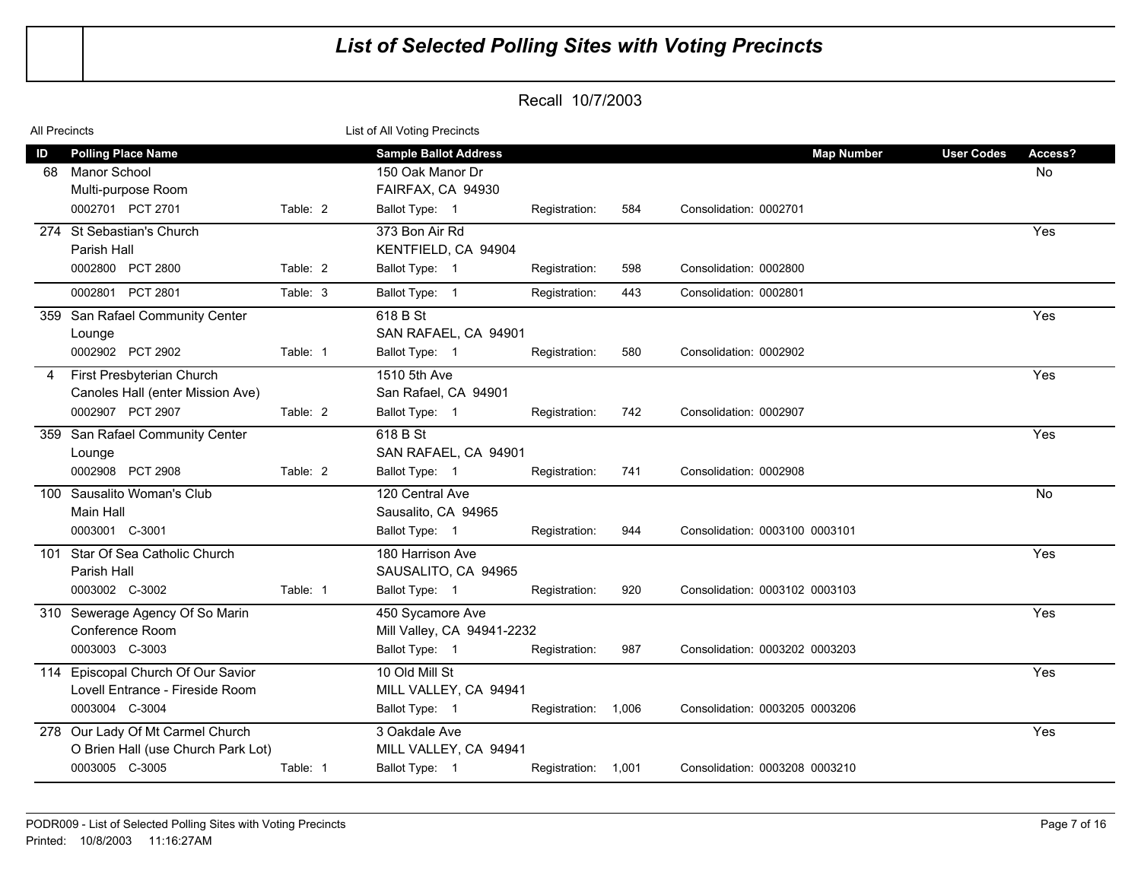| All Precincts |                                                                                          |          | List of All Voting Precincts                                                            |                     |     |                                             |                   |               |
|---------------|------------------------------------------------------------------------------------------|----------|-----------------------------------------------------------------------------------------|---------------------|-----|---------------------------------------------|-------------------|---------------|
| ID<br>68      | <b>Polling Place Name</b><br>Manor School<br>Multi-purpose Room<br>0002701 PCT 2701      | Table: 2 | <b>Sample Ballot Address</b><br>150 Oak Manor Dr<br>FAIRFAX, CA 94930<br>Ballot Type: 1 |                     | 584 | <b>Map Number</b><br>Consolidation: 0002701 | <b>User Codes</b> | Access?<br>No |
|               | 274 St Sebastian's Church                                                                |          | 373 Bon Air Rd                                                                          | Registration:       |     |                                             |                   | Yes           |
|               | Parish Hall                                                                              |          | KENTFIELD, CA 94904                                                                     |                     |     |                                             |                   |               |
|               | 0002800 PCT 2800                                                                         | Table: 2 | Ballot Type: 1                                                                          | Registration:       | 598 | Consolidation: 0002800                      |                   |               |
|               | 0002801 PCT 2801                                                                         | Table: 3 | Ballot Type: 1                                                                          | Registration:       | 443 | Consolidation: 0002801                      |                   |               |
|               | 359 San Rafael Community Center<br>Lounge<br>0002902 PCT 2902                            | Table: 1 | 618 B St<br>SAN RAFAEL, CA 94901<br>Ballot Type: 1                                      | Registration:       | 580 | Consolidation: 0002902                      |                   | Yes           |
| 4             | First Presbyterian Church                                                                |          | 1510 5th Ave                                                                            |                     |     |                                             |                   | Yes           |
|               | Canoles Hall (enter Mission Ave)<br>0002907 PCT 2907                                     | Table: 2 | San Rafael, CA 94901<br>Ballot Type: 1                                                  | Registration:       | 742 | Consolidation: 0002907                      |                   |               |
|               |                                                                                          |          |                                                                                         |                     |     |                                             |                   |               |
|               | 359 San Rafael Community Center<br>Lounge                                                |          | 618 B St<br>SAN RAFAEL, CA 94901                                                        |                     |     |                                             |                   | Yes           |
|               | 0002908 PCT 2908                                                                         | Table: 2 | Ballot Type: 1                                                                          | Registration:       | 741 | Consolidation: 0002908                      |                   |               |
|               | 100 Sausalito Woman's Club<br>Main Hall<br>0003001 C-3001                                |          | 120 Central Ave<br>Sausalito, CA 94965<br>Ballot Type: 1                                | Registration:       | 944 | Consolidation: 0003100 0003101              |                   | No            |
|               | 101 Star Of Sea Catholic Church                                                          |          | 180 Harrison Ave                                                                        |                     |     |                                             |                   | Yes           |
|               | Parish Hall                                                                              |          | SAUSALITO, CA 94965                                                                     |                     |     |                                             |                   |               |
|               | 0003002 C-3002                                                                           | Table: 1 | Ballot Type: 1                                                                          | Registration:       | 920 | Consolidation: 0003102 0003103              |                   |               |
|               | 310 Sewerage Agency Of So Marin<br>Conference Room<br>0003003 C-3003                     |          | 450 Sycamore Ave<br>Mill Valley, CA 94941-2232<br>Ballot Type: 1                        | Registration:       | 987 | Consolidation: 0003202 0003203              |                   | Yes           |
|               | 114 Episcopal Church Of Our Savior                                                       |          | 10 Old Mill St                                                                          |                     |     |                                             |                   | Yes           |
|               | Lovell Entrance - Fireside Room<br>0003004 C-3004                                        |          | MILL VALLEY, CA 94941<br>Ballot Type: 1                                                 | Registration: 1,006 |     | Consolidation: 0003205 0003206              |                   |               |
|               | 278 Our Lady Of Mt Carmel Church<br>O Brien Hall (use Church Park Lot)<br>0003005 C-3005 | Table: 1 | 3 Oakdale Ave<br>MILL VALLEY, CA 94941<br>Ballot Type: 1                                |                     |     |                                             |                   | Yes           |
|               |                                                                                          |          |                                                                                         | Registration: 1,001 |     | Consolidation: 0003208 0003210              |                   |               |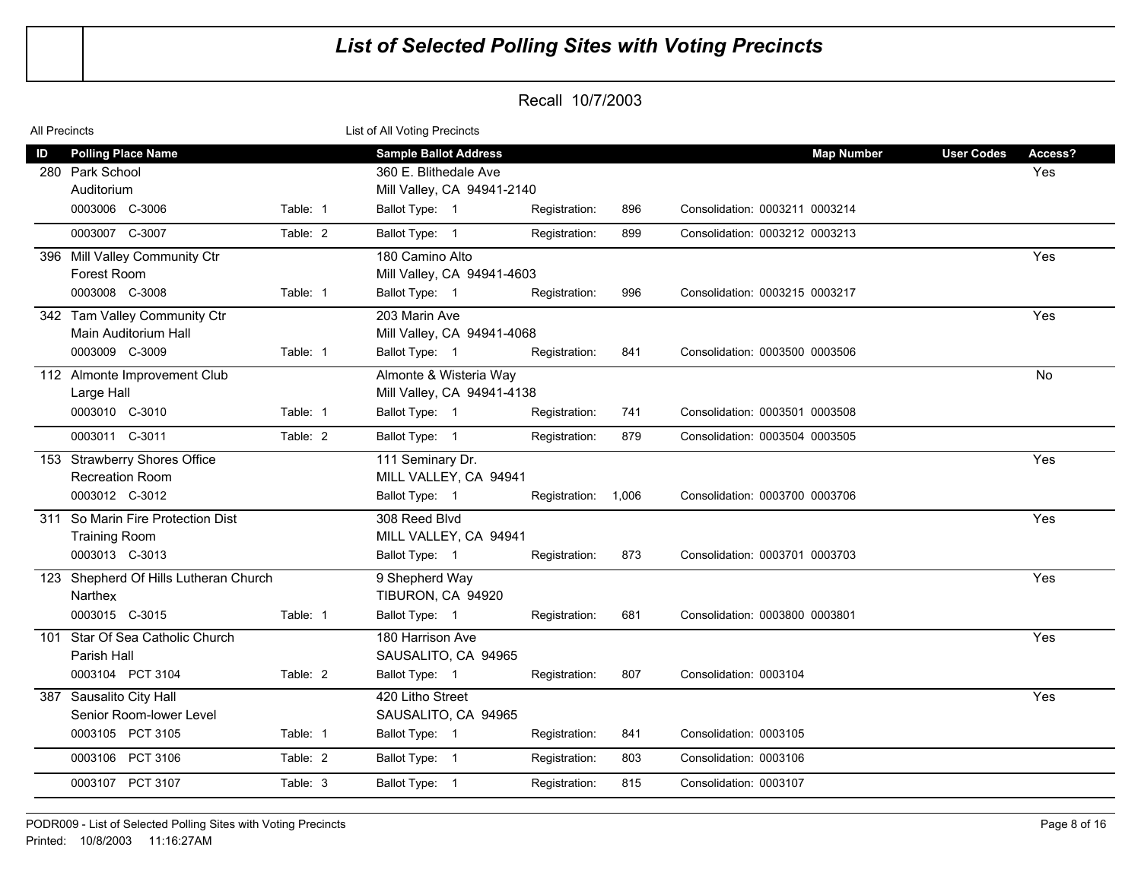| All Precincts |                                                                              |          | List of All Voting Precincts                                                                          |                     |     |                                                     |                   |                |
|---------------|------------------------------------------------------------------------------|----------|-------------------------------------------------------------------------------------------------------|---------------------|-----|-----------------------------------------------------|-------------------|----------------|
| ID            | <b>Polling Place Name</b><br>280 Park School<br>Auditorium<br>0003006 C-3006 | Table: 1 | <b>Sample Ballot Address</b><br>360 E. Blithedale Ave<br>Mill Valley, CA 94941-2140<br>Ballot Type: 1 | Registration:       | 896 | <b>Map Number</b><br>Consolidation: 0003211 0003214 | <b>User Codes</b> | Access?<br>Yes |
|               | 0003007 C-3007                                                               | Table: 2 | Ballot Type: 1                                                                                        | Registration:       | 899 | Consolidation: 0003212 0003213                      |                   |                |
|               | 396 Mill Valley Community Ctr<br>Forest Room<br>0003008 C-3008               | Table: 1 | 180 Camino Alto<br>Mill Valley, CA 94941-4603<br>Ballot Type: 1                                       | Registration:       | 996 | Consolidation: 0003215 0003217                      |                   | Yes            |
|               | 342 Tam Valley Community Ctr<br>Main Auditorium Hall<br>0003009 C-3009       | Table: 1 | 203 Marin Ave<br>Mill Valley, CA 94941-4068<br>Ballot Type: 1                                         | Registration:       | 841 | Consolidation: 0003500 0003506                      |                   | Yes            |
|               | 112 Almonte Improvement Club<br>Large Hall<br>0003010 C-3010                 | Table: 1 | Almonte & Wisteria Way<br>Mill Valley, CA 94941-4138<br>Ballot Type: 1                                | Registration:       | 741 | Consolidation: 0003501 0003508                      |                   | $\overline{N}$ |
|               | 0003011 C-3011                                                               | Table: 2 | Ballot Type: 1                                                                                        | Registration:       | 879 | Consolidation: 0003504 0003505                      |                   |                |
|               | 153 Strawberry Shores Office<br><b>Recreation Room</b><br>0003012 C-3012     |          | 111 Seminary Dr.<br>MILL VALLEY, CA 94941<br>Ballot Type: 1                                           | Registration: 1,006 |     | Consolidation: 0003700 0003706                      |                   | Yes            |
|               | 311 So Marin Fire Protection Dist<br><b>Training Room</b><br>0003013 C-3013  |          | 308 Reed Blvd<br>MILL VALLEY, CA 94941<br>Ballot Type: 1                                              | Registration:       | 873 | Consolidation: 0003701 0003703                      |                   | Yes            |
|               | 123 Shepherd Of Hills Lutheran Church<br>Narthex<br>0003015 C-3015           | Table: 1 | 9 Shepherd Way<br>TIBURON, CA 94920<br>Ballot Type: 1                                                 | Registration:       | 681 | Consolidation: 0003800 0003801                      |                   | Yes            |
|               | 101 Star Of Sea Catholic Church<br>Parish Hall<br>0003104 PCT 3104           | Table: 2 | 180 Harrison Ave<br>SAUSALITO, CA 94965<br>Ballot Type: 1                                             | Registration:       | 807 | Consolidation: 0003104                              |                   | Yes            |
|               | 387 Sausalito City Hall<br>Senior Room-lower Level<br>0003105 PCT 3105       | Table: 1 | 420 Litho Street<br>SAUSALITO, CA 94965<br>Ballot Type: 1                                             | Registration:       | 841 | Consolidation: 0003105                              |                   | Yes            |
|               | 0003106 PCT 3106                                                             | Table: 2 | Ballot Type: 1                                                                                        | Registration:       | 803 | Consolidation: 0003106                              |                   |                |
|               | 0003107 PCT 3107                                                             | Table: 3 | Ballot Type: 1                                                                                        | Registration:       | 815 | Consolidation: 0003107                              |                   |                |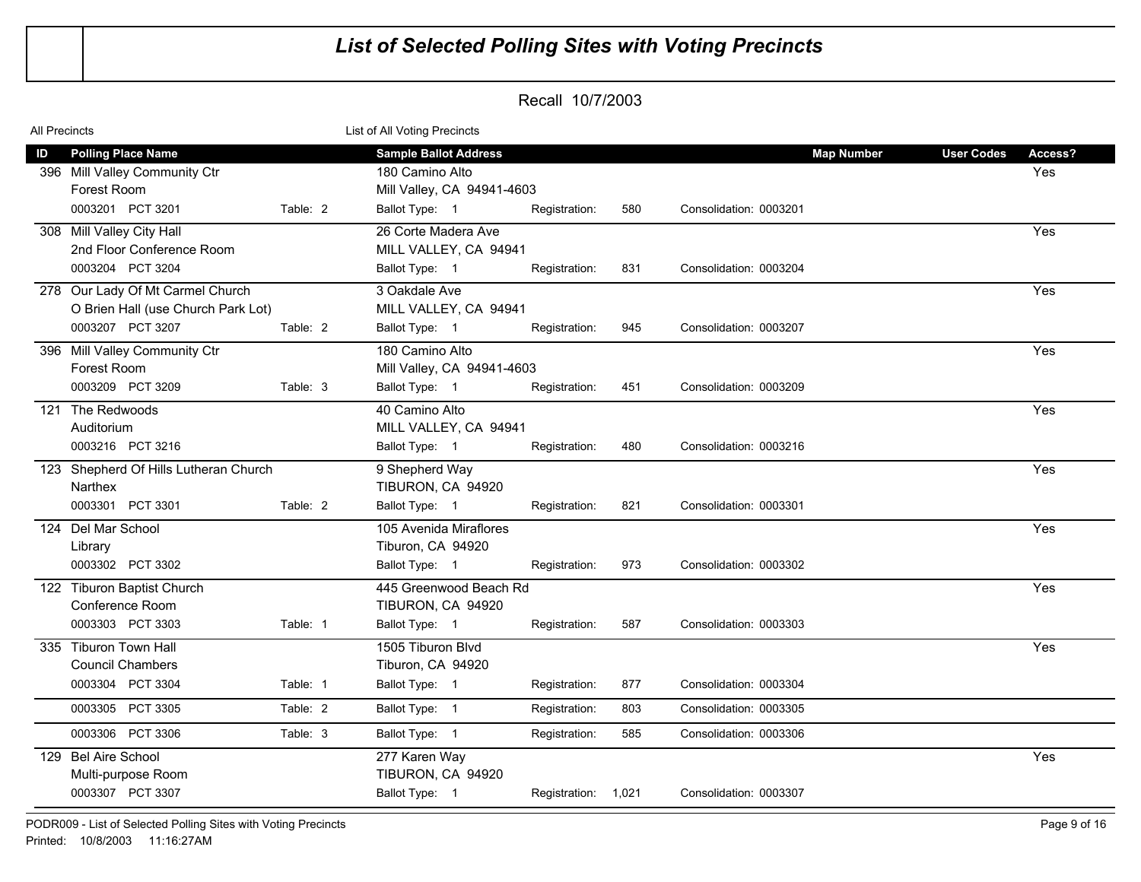| All Precincts |                                                                                            |          | List of All Voting Precincts                                                  |                     |     |                        |                   |                   |                |
|---------------|--------------------------------------------------------------------------------------------|----------|-------------------------------------------------------------------------------|---------------------|-----|------------------------|-------------------|-------------------|----------------|
| ID            | <b>Polling Place Name</b><br>396 Mill Valley Community Ctr<br>Forest Room                  |          | <b>Sample Ballot Address</b><br>180 Camino Alto<br>Mill Valley, CA 94941-4603 |                     |     |                        | <b>Map Number</b> | <b>User Codes</b> | Access?<br>Yes |
|               | 0003201 PCT 3201                                                                           | Table: 2 | Ballot Type: 1                                                                | Registration:       | 580 | Consolidation: 0003201 |                   |                   |                |
|               | 308 Mill Valley City Hall<br>2nd Floor Conference Room<br>0003204 PCT 3204                 |          | 26 Corte Madera Ave<br>MILL VALLEY, CA 94941<br>Ballot Type: 1                | Registration:       | 831 | Consolidation: 0003204 |                   |                   | Yes            |
|               | 278 Our Lady Of Mt Carmel Church<br>O Brien Hall (use Church Park Lot)<br>0003207 PCT 3207 | Table: 2 | 3 Oakdale Ave<br>MILL VALLEY, CA 94941<br>Ballot Type: 1                      | Registration:       | 945 | Consolidation: 0003207 |                   |                   | Yes            |
|               | 396 Mill Valley Community Ctr<br>Forest Room                                               |          | 180 Camino Alto<br>Mill Valley, CA 94941-4603                                 |                     |     |                        |                   |                   | Yes            |
|               | 0003209 PCT 3209                                                                           | Table: 3 | Ballot Type: 1                                                                | Registration:       | 451 | Consolidation: 0003209 |                   |                   |                |
|               | 121 The Redwoods<br>Auditorium<br>0003216 PCT 3216                                         |          | 40 Camino Alto<br>MILL VALLEY, CA 94941                                       |                     |     |                        |                   |                   | Yes            |
|               |                                                                                            |          | Ballot Type: 1                                                                | Registration:       | 480 | Consolidation: 0003216 |                   |                   |                |
|               | 123 Shepherd Of Hills Lutheran Church<br>Narthex                                           |          | 9 Shepherd Way<br>TIBURON, CA 94920                                           |                     |     |                        |                   |                   | Yes            |
|               | 0003301 PCT 3301                                                                           | Table: 2 | Ballot Type: 1                                                                | Registration:       | 821 | Consolidation: 0003301 |                   |                   |                |
|               | 124 Del Mar School<br>Library                                                              |          | 105 Avenida Miraflores<br>Tiburon, CA 94920                                   |                     |     |                        |                   |                   | Yes            |
|               | 0003302 PCT 3302                                                                           |          | Ballot Type: 1                                                                | Registration:       | 973 | Consolidation: 0003302 |                   |                   |                |
|               | 122 Tiburon Baptist Church<br>Conference Room<br>0003303 PCT 3303                          | Table: 1 | 445 Greenwood Beach Rd<br>TIBURON, CA 94920<br>Ballot Type: 1                 | Registration:       | 587 | Consolidation: 0003303 |                   |                   | Yes            |
|               | 335 Tiburon Town Hall<br><b>Council Chambers</b>                                           |          | 1505 Tiburon Blvd<br>Tiburon, CA 94920                                        |                     |     |                        |                   |                   | Yes            |
|               | 0003304 PCT 3304                                                                           | Table: 1 | Ballot Type: 1                                                                | Registration:       | 877 | Consolidation: 0003304 |                   |                   |                |
|               | 0003305 PCT 3305                                                                           | Table: 2 | Ballot Type: 1                                                                | Registration:       | 803 | Consolidation: 0003305 |                   |                   |                |
|               | 0003306 PCT 3306                                                                           | Table: 3 | Ballot Type: 1                                                                | Registration:       | 585 | Consolidation: 0003306 |                   |                   |                |
|               | 129 Bel Aire School<br>Multi-purpose Room<br>0003307 PCT 3307                              |          | 277 Karen Way<br>TIBURON, CA 94920<br>Ballot Type: 1                          | Registration: 1,021 |     | Consolidation: 0003307 |                   |                   | Yes            |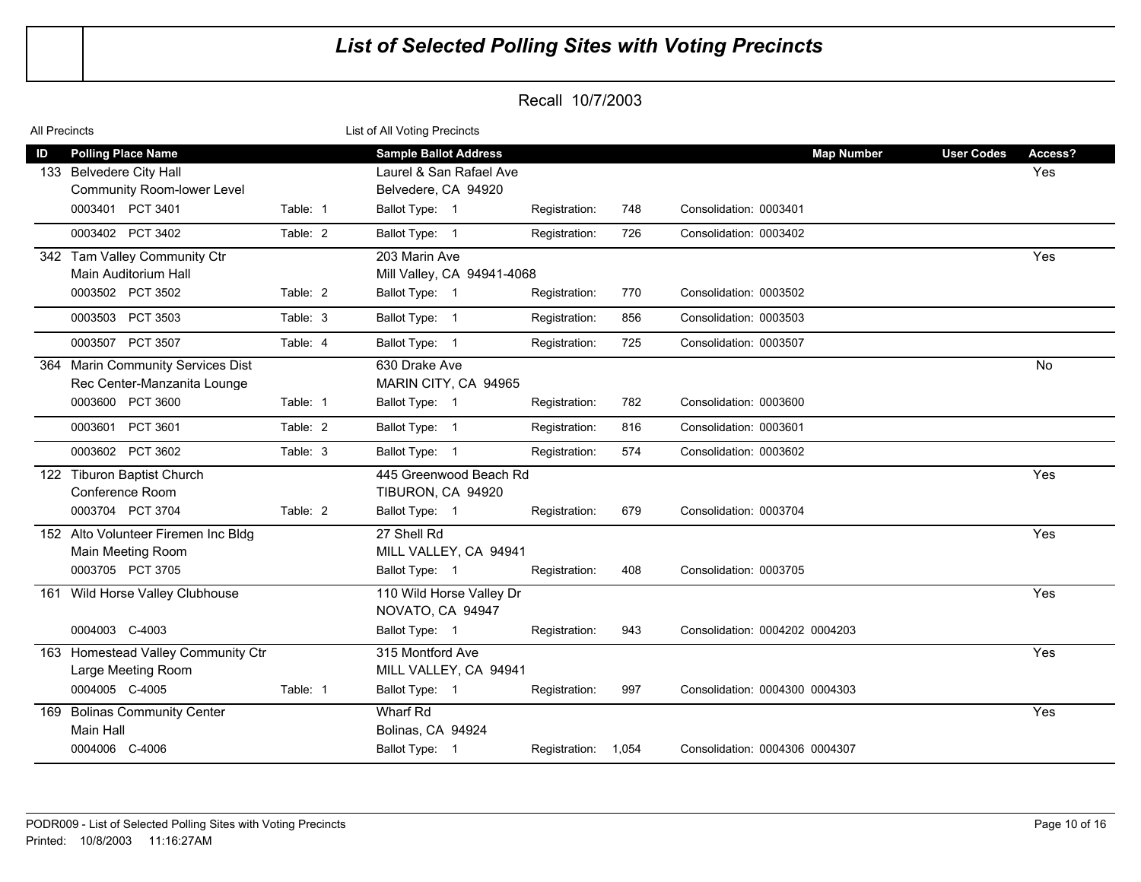| All Precincts |                                     |          | List of All Voting Precincts |                     |     |                                |                   |         |
|---------------|-------------------------------------|----------|------------------------------|---------------------|-----|--------------------------------|-------------------|---------|
| ID            | <b>Polling Place Name</b>           |          | <b>Sample Ballot Address</b> |                     |     | <b>Map Number</b>              | <b>User Codes</b> | Access? |
|               | 133 Belvedere City Hall             |          | Laurel & San Rafael Ave      |                     |     |                                |                   | Yes     |
|               | <b>Community Room-lower Level</b>   |          | Belvedere, CA 94920          |                     |     |                                |                   |         |
|               | 0003401 PCT 3401                    | Table: 1 | Ballot Type: 1               | Registration:       | 748 | Consolidation: 0003401         |                   |         |
|               | 0003402 PCT 3402                    | Table: 2 | Ballot Type: 1               | Registration:       | 726 | Consolidation: 0003402         |                   |         |
|               | 342 Tam Valley Community Ctr        |          | 203 Marin Ave                |                     |     |                                |                   | Yes     |
|               | Main Auditorium Hall                |          | Mill Valley, CA 94941-4068   |                     |     |                                |                   |         |
|               | 0003502 PCT 3502                    | Table: 2 | Ballot Type: 1               | Registration:       | 770 | Consolidation: 0003502         |                   |         |
|               | 0003503 PCT 3503                    | Table: 3 | Ballot Type: 1               | Registration:       | 856 | Consolidation: 0003503         |                   |         |
|               | 0003507 PCT 3507                    | Table: 4 | Ballot Type: 1               | Registration:       | 725 | Consolidation: 0003507         |                   |         |
|               | 364 Marin Community Services Dist   |          | 630 Drake Ave                |                     |     |                                |                   | No      |
|               | Rec Center-Manzanita Lounge         |          | MARIN CITY, CA 94965         |                     |     |                                |                   |         |
|               | 0003600 PCT 3600                    | Table: 1 | Ballot Type: 1               | Registration:       | 782 | Consolidation: 0003600         |                   |         |
|               | 0003601<br>PCT 3601                 | Table: 2 | Ballot Type: 1               | Registration:       | 816 | Consolidation: 0003601         |                   |         |
|               | 0003602 PCT 3602                    | Table: 3 | Ballot Type: 1               | Registration:       | 574 | Consolidation: 0003602         |                   |         |
| 122           | <b>Tiburon Baptist Church</b>       |          | 445 Greenwood Beach Rd       |                     |     |                                |                   | Yes     |
|               | Conference Room                     |          | TIBURON, CA 94920            |                     |     |                                |                   |         |
|               | 0003704 PCT 3704                    | Table: 2 | Ballot Type: 1               | Registration:       | 679 | Consolidation: 0003704         |                   |         |
|               | 152 Alto Volunteer Firemen Inc Bldg |          | 27 Shell Rd                  |                     |     |                                |                   | Yes     |
|               | Main Meeting Room                   |          | MILL VALLEY, CA 94941        |                     |     |                                |                   |         |
|               | 0003705 PCT 3705                    |          | Ballot Type: 1               | Registration:       | 408 | Consolidation: 0003705         |                   |         |
|               | 161 Wild Horse Valley Clubhouse     |          | 110 Wild Horse Valley Dr     |                     |     |                                |                   | Yes     |
|               |                                     |          | NOVATO, CA 94947             |                     |     |                                |                   |         |
|               | 0004003 C-4003                      |          | Ballot Type: 1               | Registration:       | 943 | Consolidation: 0004202 0004203 |                   |         |
|               | 163 Homestead Valley Community Ctr  |          | 315 Montford Ave             |                     |     |                                |                   | Yes     |
|               | Large Meeting Room                  |          | MILL VALLEY, CA 94941        |                     |     |                                |                   |         |
|               | 0004005 C-4005                      | Table: 1 | Ballot Type: 1               | Registration:       | 997 | Consolidation: 0004300 0004303 |                   |         |
|               | 169 Bolinas Community Center        |          | Wharf Rd                     |                     |     |                                |                   | Yes     |
|               | <b>Main Hall</b>                    |          | Bolinas, CA 94924            |                     |     |                                |                   |         |
|               | 0004006 C-4006                      |          | Ballot Type: 1               | Registration: 1,054 |     | Consolidation: 0004306 0004307 |                   |         |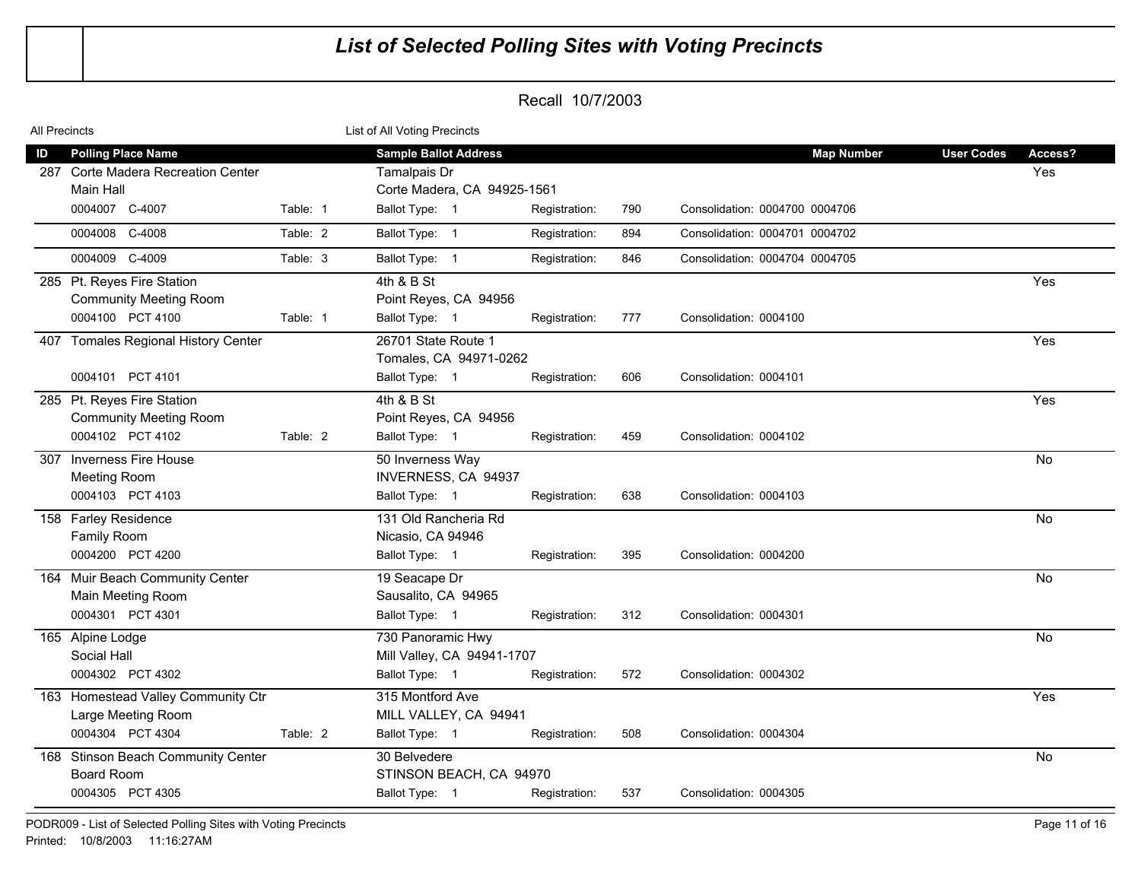| All Precincts |                                                                                                |          | List of All Voting Precincts                                                                  |               |     |                                                     |                   |                |
|---------------|------------------------------------------------------------------------------------------------|----------|-----------------------------------------------------------------------------------------------|---------------|-----|-----------------------------------------------------|-------------------|----------------|
| ID            | <b>Polling Place Name</b><br>287 Corte Madera Recreation Center<br>Main Hall<br>0004007 C-4007 | Table: 1 | <b>Sample Ballot Address</b><br>Tamalpais Dr<br>Corte Madera, CA 94925-1561<br>Ballot Type: 1 | Registration: | 790 | <b>Map Number</b><br>Consolidation: 0004700 0004706 | <b>User Codes</b> | Access?<br>Yes |
|               | 0004008 C-4008                                                                                 | Table: 2 | Ballot Type: 1                                                                                | Registration: | 894 | Consolidation: 0004701 0004702                      |                   |                |
|               | 0004009 C-4009                                                                                 | Table: 3 | Ballot Type: 1                                                                                | Registration: | 846 | Consolidation: 0004704 0004705                      |                   |                |
|               | 285 Pt. Reyes Fire Station<br><b>Community Meeting Room</b><br>0004100 PCT 4100                | Table: 1 | 4th & B St<br>Point Reyes, CA 94956<br>Ballot Type: 1                                         | Registration: | 777 | Consolidation: 0004100                              |                   | Yes            |
|               | 407 Tomales Regional History Center<br>0004101 PCT 4101                                        |          | 26701 State Route 1<br>Tomales, CA 94971-0262<br>Ballot Type: 1                               | Registration: | 606 | Consolidation: 0004101                              |                   | Yes            |
|               | 285 Pt. Reyes Fire Station<br><b>Community Meeting Room</b><br>0004102 PCT 4102                | Table: 2 | 4th & B St<br>Point Reyes, CA 94956<br>Ballot Type: 1                                         | Registration: | 459 | Consolidation: 0004102                              |                   | Yes            |
|               | 307 Inverness Fire House<br><b>Meeting Room</b><br>0004103 PCT 4103                            |          | 50 Inverness Way<br>INVERNESS, CA 94937<br>Ballot Type: 1                                     | Registration: | 638 | Consolidation: 0004103                              |                   | <b>No</b>      |
|               | 158 Farley Residence<br><b>Family Room</b><br>0004200 PCT 4200                                 |          | 131 Old Rancheria Rd<br>Nicasio, CA 94946<br>Ballot Type: 1                                   | Registration: | 395 | Consolidation: 0004200                              |                   | No             |
|               | 164 Muir Beach Community Center<br>Main Meeting Room<br>0004301 PCT 4301                       |          | 19 Seacape Dr<br>Sausalito, CA 94965<br>Ballot Type: 1                                        | Registration: | 312 | Consolidation: 0004301                              |                   | <b>No</b>      |
|               | 165 Alpine Lodge<br>Social Hall<br>0004302 PCT 4302                                            |          | 730 Panoramic Hwy<br>Mill Valley, CA 94941-1707<br>Ballot Type: 1                             | Registration: | 572 | Consolidation: 0004302                              |                   | $\overline{N}$ |
|               | 163 Homestead Valley Community Ctr<br>Large Meeting Room<br>0004304 PCT 4304                   | Table: 2 | 315 Montford Ave<br>MILL VALLEY, CA 94941<br>Ballot Type: 1                                   | Registration: | 508 | Consolidation: 0004304                              |                   | Yes            |
|               | 168 Stinson Beach Community Center<br><b>Board Room</b><br>0004305 PCT 4305                    |          | 30 Belvedere<br>STINSON BEACH, CA 94970<br>Ballot Type: 1                                     | Registration: | 537 | Consolidation: 0004305                              |                   | No             |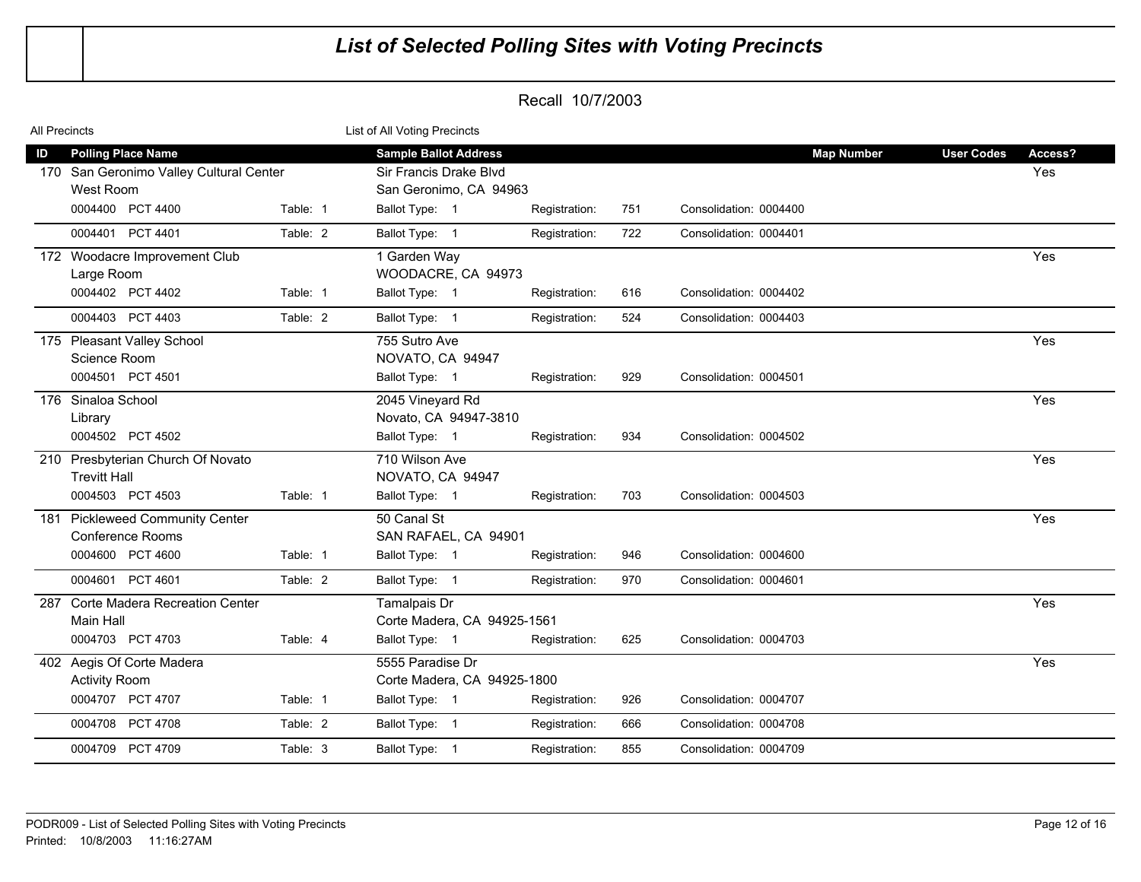| All Precincts |                                                               |          | List of All Voting Precincts                     |               |     |                        |                   |         |  |
|---------------|---------------------------------------------------------------|----------|--------------------------------------------------|---------------|-----|------------------------|-------------------|---------|--|
| ID            | <b>Polling Place Name</b>                                     |          | <b>Sample Ballot Address</b>                     |               |     | <b>Map Number</b>      | <b>User Codes</b> | Access? |  |
|               | 170 San Geronimo Valley Cultural Center<br>West Room          |          | Sir Francis Drake Blvd<br>San Geronimo, CA 94963 |               |     |                        |                   | Yes     |  |
|               | 0004400 PCT 4400                                              | Table: 1 | Ballot Type: 1                                   | Registration: | 751 | Consolidation: 0004400 |                   |         |  |
|               | 0004401 PCT 4401                                              | Table: 2 | Ballot Type: 1                                   | Registration: | 722 | Consolidation: 0004401 |                   |         |  |
|               | 172 Woodacre Improvement Club<br>Large Room                   |          | 1 Garden Way<br>WOODACRE, CA 94973               |               |     |                        |                   | Yes     |  |
|               | 0004402 PCT 4402                                              | Table: 1 | Ballot Type: 1                                   | Registration: | 616 | Consolidation: 0004402 |                   |         |  |
|               | 0004403 PCT 4403                                              | Table: 2 | Ballot Type: 1                                   | Registration: | 524 | Consolidation: 0004403 |                   |         |  |
|               | 175 Pleasant Valley School<br>Science Room                    |          | 755 Sutro Ave<br>NOVATO, CA 94947                |               |     |                        |                   | Yes     |  |
|               | 0004501 PCT 4501                                              |          | Ballot Type: 1                                   | Registration: | 929 | Consolidation: 0004501 |                   |         |  |
|               | 176 Sinaloa School<br>Library                                 |          | 2045 Vineyard Rd<br>Novato, CA 94947-3810        |               |     |                        |                   | Yes     |  |
|               | 0004502 PCT 4502                                              |          | Ballot Type: 1                                   | Registration: | 934 | Consolidation: 0004502 |                   |         |  |
|               | 210 Presbyterian Church Of Novato<br><b>Trevitt Hall</b>      |          | 710 Wilson Ave<br>NOVATO, CA 94947               |               |     |                        |                   | Yes     |  |
|               | 0004503 PCT 4503                                              | Table: 1 | Ballot Type: 1                                   | Registration: | 703 | Consolidation: 0004503 |                   |         |  |
| 181           | <b>Pickleweed Community Center</b><br><b>Conference Rooms</b> |          | 50 Canal St<br>SAN RAFAEL, CA 94901              |               |     |                        |                   | Yes     |  |
|               | 0004600 PCT 4600                                              | Table: 1 | Ballot Type: 1                                   | Registration: | 946 | Consolidation: 0004600 |                   |         |  |
|               | 0004601 PCT 4601                                              | Table: 2 | Ballot Type: 1                                   | Registration: | 970 | Consolidation: 0004601 |                   |         |  |
| 287           | <b>Corte Madera Recreation Center</b><br>Main Hall            |          | Tamalpais Dr<br>Corte Madera, CA 94925-1561      |               |     |                        |                   | Yes     |  |
|               | 0004703 PCT 4703                                              | Table: 4 | Ballot Type: 1                                   | Registration: | 625 | Consolidation: 0004703 |                   |         |  |
|               | 402 Aegis Of Corte Madera<br><b>Activity Room</b>             |          | 5555 Paradise Dr<br>Corte Madera, CA 94925-1800  |               |     |                        |                   | Yes     |  |
|               | 0004707 PCT 4707                                              | Table: 1 | Ballot Type: 1                                   | Registration: | 926 | Consolidation: 0004707 |                   |         |  |
|               | 0004708 PCT 4708                                              | Table: 2 | Ballot Type: 1                                   | Registration: | 666 | Consolidation: 0004708 |                   |         |  |
|               | 0004709 PCT 4709                                              | Table: 3 | Ballot Type: 1                                   | Registration: | 855 | Consolidation: 0004709 |                   |         |  |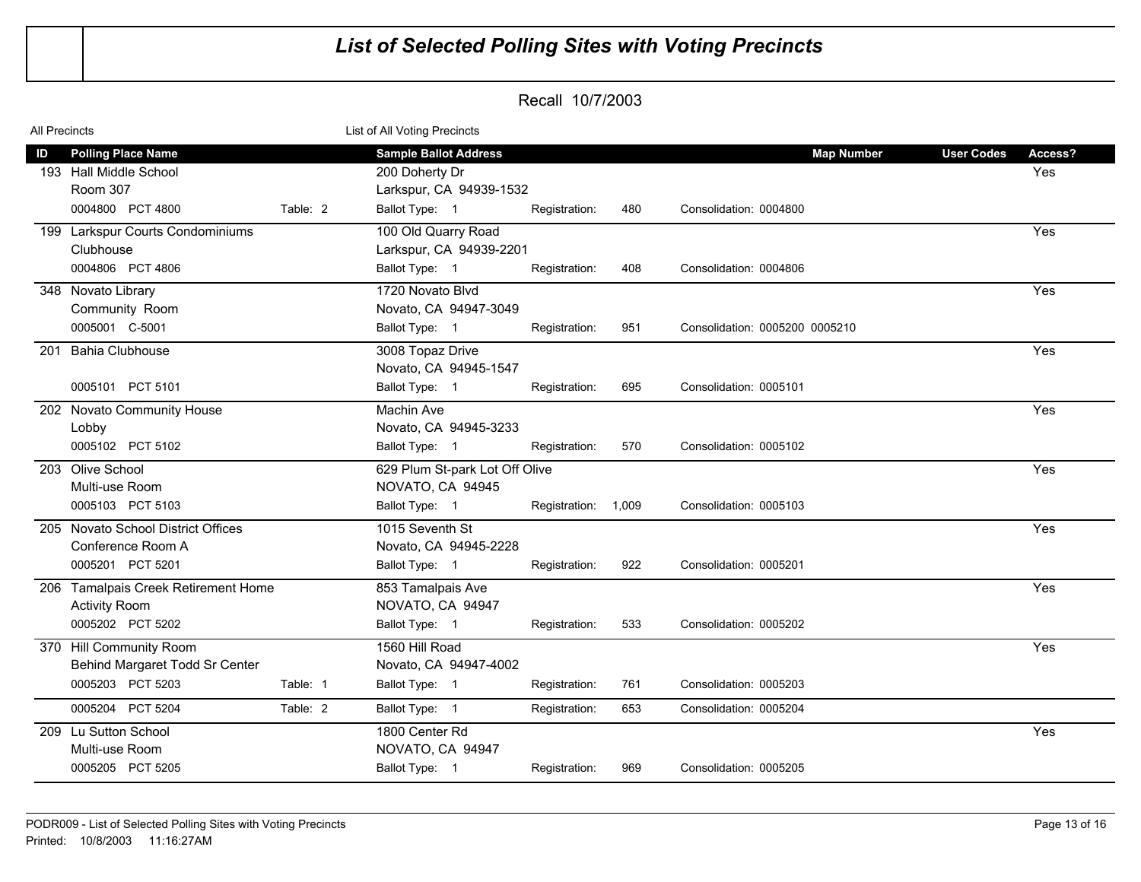| All Precincts |                                                                                            |          | List of All Voting Precincts                                                                |                     |     |                                             |                                     |
|---------------|--------------------------------------------------------------------------------------------|----------|---------------------------------------------------------------------------------------------|---------------------|-----|---------------------------------------------|-------------------------------------|
| ID            | <b>Polling Place Name</b><br>193 Hall Middle School<br><b>Room 307</b><br>0004800 PCT 4800 | Table: 2 | <b>Sample Ballot Address</b><br>200 Doherty Dr<br>Larkspur, CA 94939-1532<br>Ballot Type: 1 | Registration:       | 480 | <b>Map Number</b><br>Consolidation: 0004800 | <b>User Codes</b><br>Access?<br>Yes |
|               | 199 Larkspur Courts Condominiums                                                           |          | 100 Old Quarry Road                                                                         |                     |     |                                             | Yes                                 |
|               | Clubhouse                                                                                  |          | Larkspur, CA 94939-2201                                                                     |                     |     |                                             |                                     |
|               | 0004806 PCT 4806                                                                           |          | Ballot Type: 1                                                                              | Registration:       | 408 | Consolidation: 0004806                      |                                     |
|               | 348 Novato Library<br>Community Room                                                       |          | 1720 Novato Blvd<br>Novato, CA 94947-3049                                                   |                     |     |                                             | Yes                                 |
|               | 0005001 C-5001                                                                             |          | Ballot Type: 1                                                                              | Registration:       | 951 | Consolidation: 0005200 0005210              |                                     |
| 201           | <b>Bahia Clubhouse</b>                                                                     |          | 3008 Topaz Drive<br>Novato, CA 94945-1547                                                   |                     |     |                                             | Yes                                 |
|               | 0005101 PCT 5101                                                                           |          | Ballot Type: 1                                                                              | Registration:       | 695 | Consolidation: 0005101                      |                                     |
|               | 202 Novato Community House                                                                 |          | Machin Ave                                                                                  |                     |     |                                             | Yes                                 |
|               | Lobby<br>0005102 PCT 5102                                                                  |          | Novato, CA 94945-3233<br>Ballot Type: 1                                                     | Registration:       | 570 | Consolidation: 0005102                      |                                     |
|               | 203 Olive School                                                                           |          | 629 Plum St-park Lot Off Olive                                                              |                     |     |                                             | Yes                                 |
|               | Multi-use Room                                                                             |          | NOVATO, CA 94945                                                                            |                     |     |                                             |                                     |
|               | 0005103 PCT 5103                                                                           |          | Ballot Type: 1                                                                              | Registration: 1,009 |     | Consolidation: 0005103                      |                                     |
|               | 205 Novato School District Offices<br>Conference Room A<br>0005201 PCT 5201                |          | 1015 Seventh St<br>Novato, CA 94945-2228<br>Ballot Type: 1                                  | Registration:       | 922 | Consolidation: 0005201                      | Yes                                 |
|               | 206 Tamalpais Creek Retirement Home                                                        |          | 853 Tamalpais Ave                                                                           |                     |     |                                             | Yes                                 |
|               | <b>Activity Room</b>                                                                       |          | NOVATO, CA 94947                                                                            |                     |     |                                             |                                     |
|               | 0005202 PCT 5202                                                                           |          | Ballot Type: 1                                                                              | Registration:       | 533 | Consolidation: 0005202                      |                                     |
|               | 370 Hill Community Room<br>Behind Margaret Todd Sr Center                                  |          | 1560 Hill Road<br>Novato, CA 94947-4002                                                     |                     |     |                                             | Yes                                 |
|               | 0005203 PCT 5203                                                                           | Table: 1 | Ballot Type: 1                                                                              | Registration:       | 761 | Consolidation: 0005203                      |                                     |
|               | 0005204 PCT 5204                                                                           | Table: 2 | Ballot Type: 1                                                                              | Registration:       | 653 | Consolidation: 0005204                      |                                     |
|               | 209 Lu Sutton School<br>Multi-use Room<br>0005205 PCT 5205                                 |          | 1800 Center Rd<br>NOVATO, CA 94947                                                          |                     | 969 | Consolidation: 0005205                      | Yes                                 |
|               |                                                                                            |          | Ballot Type: 1                                                                              | Registration:       |     |                                             |                                     |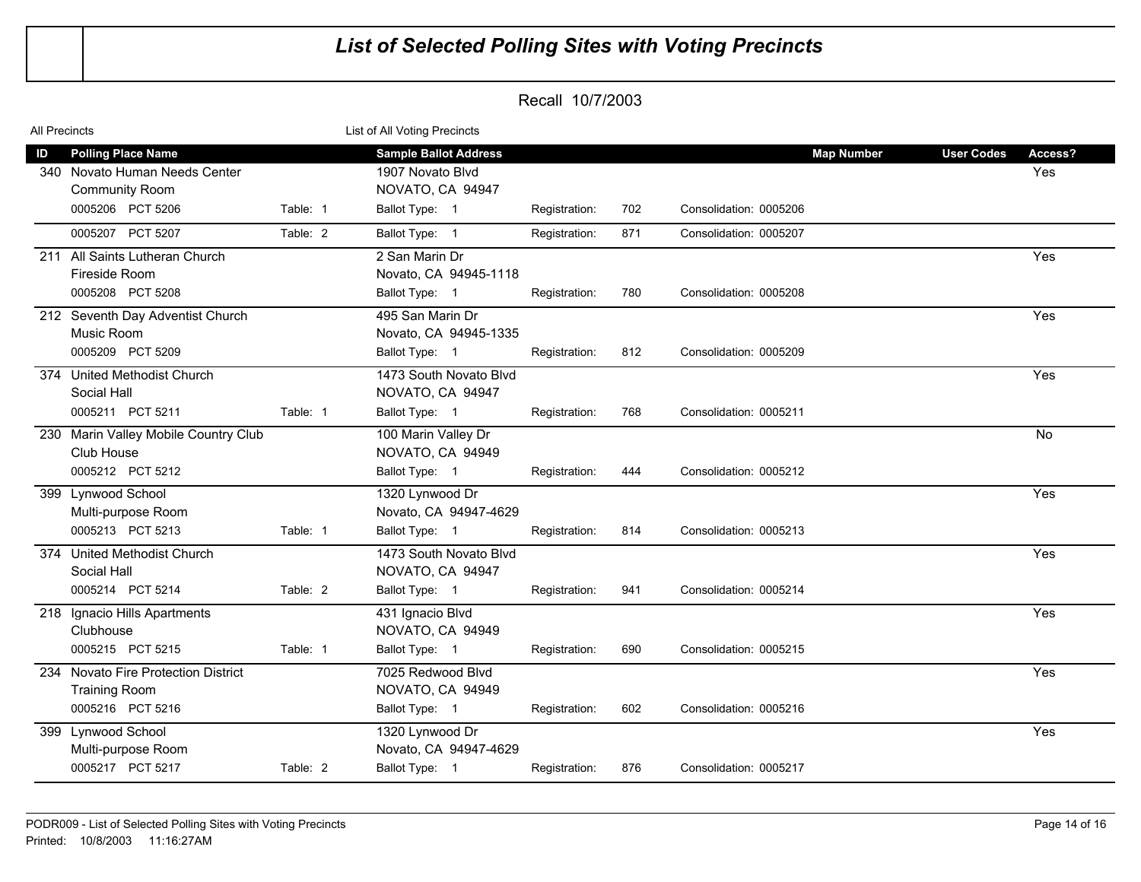| All Precincts                                                                                                             | List of All Voting Precincts                                                                                   |                                                                                    |
|---------------------------------------------------------------------------------------------------------------------------|----------------------------------------------------------------------------------------------------------------|------------------------------------------------------------------------------------|
| <b>Polling Place Name</b><br>ID<br>340 Novato Human Needs Center<br><b>Community Room</b><br>0005206 PCT 5206<br>Table: 1 | <b>Sample Ballot Address</b><br>1907 Novato Blvd<br>NOVATO, CA 94947<br>Ballot Type: 1<br>702<br>Registration: | <b>Map Number</b><br><b>User Codes</b><br>Access?<br>Yes<br>Consolidation: 0005206 |
| 0005207 PCT 5207<br>Table: 2                                                                                              | Ballot Type: 1<br>Registration:<br>871                                                                         | Consolidation: 0005207                                                             |
| 211 All Saints Lutheran Church<br>Fireside Room<br>0005208 PCT 5208                                                       | 2 San Marin Dr<br>Novato, CA 94945-1118<br>Ballot Type: 1<br>780<br>Registration:                              | Yes<br>Consolidation: 0005208                                                      |
| 212 Seventh Day Adventist Church<br>Music Room<br>0005209 PCT 5209                                                        | 495 San Marin Dr<br>Novato, CA 94945-1335<br>Ballot Type: 1<br>812<br>Registration:                            | Yes<br>Consolidation: 0005209                                                      |
| 374 United Methodist Church<br>Social Hall<br>0005211 PCT 5211<br>Table: 1                                                | 1473 South Novato Blvd<br>NOVATO, CA 94947<br>Ballot Type: 1<br>768<br>Registration:                           | Yes<br>Consolidation: 0005211                                                      |
| 230 Marin Valley Mobile Country Club<br>Club House<br>0005212 PCT 5212                                                    | 100 Marin Valley Dr<br>NOVATO, CA 94949<br>Ballot Type: 1<br>444<br>Registration:                              | No<br>Consolidation: 0005212                                                       |
| 399 Lynwood School<br>Multi-purpose Room<br>0005213 PCT 5213<br>Table: 1                                                  | 1320 Lynwood Dr<br>Novato, CA 94947-4629<br>Ballot Type: 1<br>814<br>Registration:                             | Yes<br>Consolidation: 0005213                                                      |
| 374 United Methodist Church<br>Social Hall<br>0005214 PCT 5214<br>Table: 2                                                | 1473 South Novato Blvd<br>NOVATO, CA 94947<br>Ballot Type: 1<br>941<br>Registration:                           | Yes<br>Consolidation: 0005214                                                      |
| 218 Ignacio Hills Apartments<br>Clubhouse<br>0005215 PCT 5215<br>Table: 1                                                 | 431 Ignacio Blvd<br>NOVATO, CA 94949<br>Ballot Type: 1<br>690<br>Registration:                                 | Yes<br>Consolidation: 0005215                                                      |
| 234 Novato Fire Protection District<br><b>Training Room</b><br>0005216 PCT 5216                                           | 7025 Redwood Blvd<br>NOVATO, CA 94949<br>Ballot Type: 1<br>602<br>Registration:                                | Yes<br>Consolidation: 0005216                                                      |
| Lynwood School<br>399<br>Multi-purpose Room<br>0005217 PCT 5217<br>Table: 2                                               | 1320 Lynwood Dr<br>Novato, CA 94947-4629<br>Ballot Type: 1<br>876<br>Registration:                             | Yes<br>Consolidation: 0005217                                                      |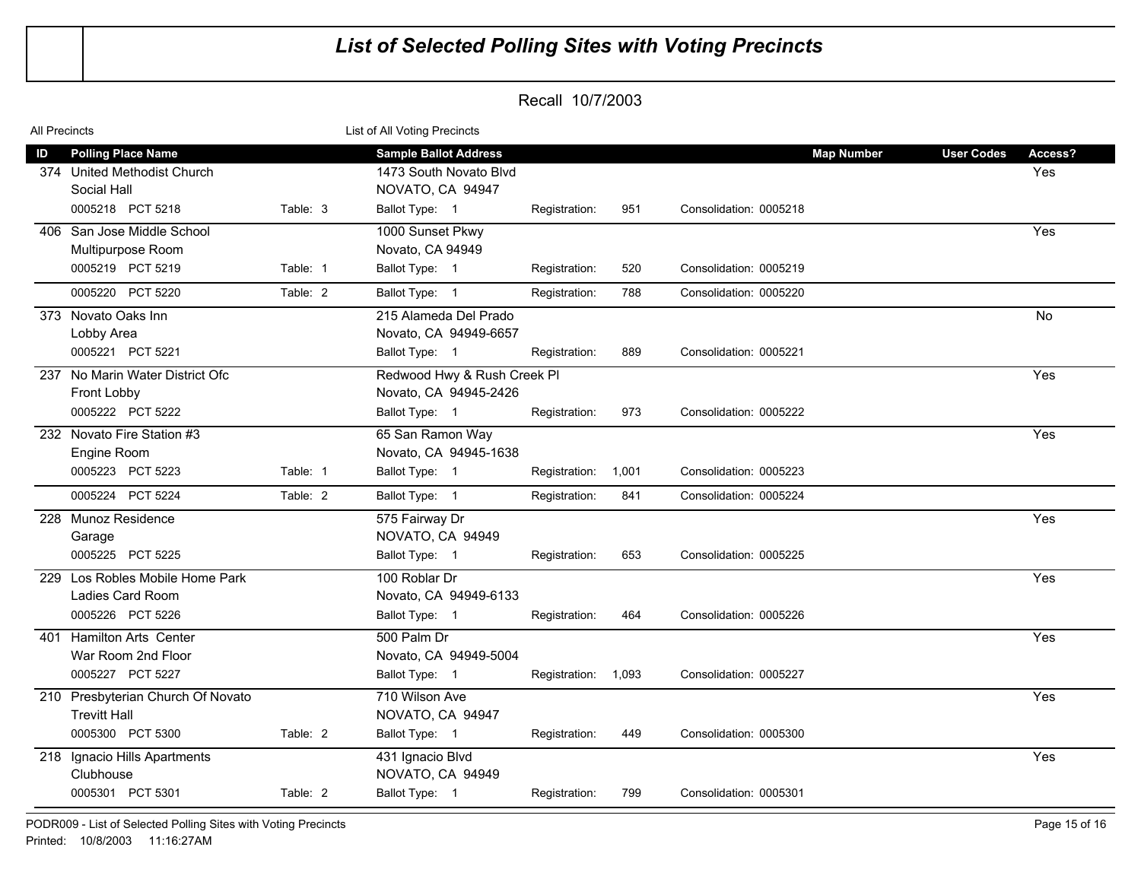| <b>All Precincts</b> |                                   | List of All Voting Precincts |                              |               |       |                        |                   |            |
|----------------------|-----------------------------------|------------------------------|------------------------------|---------------|-------|------------------------|-------------------|------------|
| ID                   | <b>Polling Place Name</b>         |                              | <b>Sample Ballot Address</b> |               |       | <b>Map Number</b>      | <b>User Codes</b> | Access?    |
|                      | 374 United Methodist Church       |                              | 1473 South Novato Blvd       |               |       |                        |                   | <b>Yes</b> |
|                      | Social Hall                       |                              | NOVATO, CA 94947             |               |       |                        |                   |            |
|                      | 0005218 PCT 5218                  | Table: 3                     | Ballot Type: 1               | Registration: | 951   | Consolidation: 0005218 |                   |            |
|                      | 406 San Jose Middle School        |                              | 1000 Sunset Pkwy             |               |       |                        |                   | Yes        |
|                      | Multipurpose Room                 |                              | Novato, CA 94949             |               |       |                        |                   |            |
|                      | 0005219 PCT 5219                  | Table: 1                     | Ballot Type: 1               | Registration: | 520   | Consolidation: 0005219 |                   |            |
|                      | 0005220 PCT 5220                  | Table: 2                     | Ballot Type: 1               | Registration: | 788   | Consolidation: 0005220 |                   |            |
|                      | 373 Novato Oaks Inn               |                              | 215 Alameda Del Prado        |               |       |                        |                   | No         |
|                      | Lobby Area                        |                              | Novato, CA 94949-6657        |               |       |                        |                   |            |
|                      | 0005221 PCT 5221                  |                              | Ballot Type: 1               | Registration: | 889   | Consolidation: 0005221 |                   |            |
|                      | 237 No Marin Water District Ofc   |                              | Redwood Hwy & Rush Creek Pl  |               |       |                        |                   | Yes        |
|                      | Front Lobby                       |                              | Novato, CA 94945-2426        |               |       |                        |                   |            |
|                      | 0005222 PCT 5222                  |                              | Ballot Type: 1               | Registration: | 973   | Consolidation: 0005222 |                   |            |
|                      | 232 Novato Fire Station #3        |                              | 65 San Ramon Way             |               |       |                        |                   | Yes        |
|                      | Engine Room                       |                              | Novato, CA 94945-1638        |               |       |                        |                   |            |
|                      | 0005223 PCT 5223                  | Table: 1                     | Ballot Type: 1               | Registration: | 1,001 | Consolidation: 0005223 |                   |            |
|                      | 0005224 PCT 5224                  | Table: 2                     | Ballot Type: 1               | Registration: | 841   | Consolidation: 0005224 |                   |            |
|                      | 228 Munoz Residence               |                              | 575 Fairway Dr               |               |       |                        |                   | Yes        |
|                      | Garage                            |                              | NOVATO, CA 94949             |               |       |                        |                   |            |
|                      | 0005225 PCT 5225                  |                              | Ballot Type: 1               | Registration: | 653   | Consolidation: 0005225 |                   |            |
|                      | 229 Los Robles Mobile Home Park   |                              | 100 Roblar Dr                |               |       |                        |                   | Yes        |
|                      | Ladies Card Room                  |                              | Novato, CA 94949-6133        |               |       |                        |                   |            |
|                      | 0005226 PCT 5226                  |                              | Ballot Type: 1               | Registration: | 464   | Consolidation: 0005226 |                   |            |
|                      | 401 Hamilton Arts Center          |                              | 500 Palm Dr                  |               |       |                        |                   | Yes        |
|                      | War Room 2nd Floor                |                              | Novato, CA 94949-5004        |               |       |                        |                   |            |
|                      | 0005227 PCT 5227                  |                              | Ballot Type: 1               | Registration: | 1,093 | Consolidation: 0005227 |                   |            |
|                      | 210 Presbyterian Church Of Novato |                              | 710 Wilson Ave               |               |       |                        |                   | Yes        |
|                      | <b>Trevitt Hall</b>               |                              | NOVATO, CA 94947             |               |       |                        |                   |            |
|                      | 0005300 PCT 5300                  | Table: 2                     | Ballot Type: 1               | Registration: | 449   | Consolidation: 0005300 |                   |            |
|                      | 218 Ignacio Hills Apartments      |                              | 431 Ignacio Blvd             |               |       |                        |                   | Yes        |
|                      | Clubhouse                         |                              | NOVATO, CA 94949             |               |       |                        |                   |            |
|                      | 0005301 PCT 5301                  | Table: 2                     | Ballot Type: 1               | Registration: | 799   | Consolidation: 0005301 |                   |            |